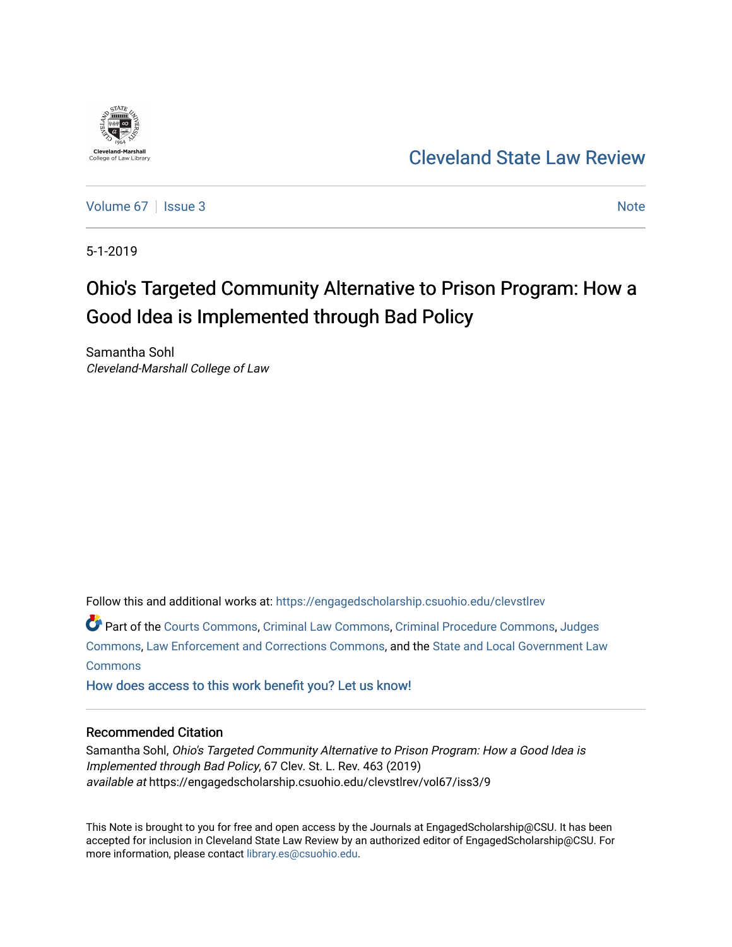

# [Cleveland State Law Review](https://engagedscholarship.csuohio.edu/clevstlrev)

[Volume 67](https://engagedscholarship.csuohio.edu/clevstlrev/vol67) | [Issue 3](https://engagedscholarship.csuohio.edu/clevstlrev/vol67/iss3) [Note](https://engagedscholarship.csuohio.edu/clevstlrev/vol67/iss3/9) Note 2 Note 2 Note 2 Note 2 Note 2 Note 2 Note 2 Note 2 Note 2 Note 2 Note 2 Note 2 Note 2 Note 2 Note 2 Note 2 Note 2 Note 2 Note 2 Note 2 Note 2 Note 2 Note 2 Note 2 Note 2 Note 2 Note 2 Note 2 N

5-1-2019

# Ohio's Targeted Community Alternative to Prison Program: How a Good Idea is Implemented through Bad Policy

Samantha Sohl Cleveland-Marshall College of Law

Follow this and additional works at: [https://engagedscholarship.csuohio.edu/clevstlrev](https://engagedscholarship.csuohio.edu/clevstlrev?utm_source=engagedscholarship.csuohio.edu%2Fclevstlrev%2Fvol67%2Fiss3%2F9&utm_medium=PDF&utm_campaign=PDFCoverPages)

Part of the [Courts Commons,](http://network.bepress.com/hgg/discipline/839?utm_source=engagedscholarship.csuohio.edu%2Fclevstlrev%2Fvol67%2Fiss3%2F9&utm_medium=PDF&utm_campaign=PDFCoverPages) [Criminal Law Commons](http://network.bepress.com/hgg/discipline/912?utm_source=engagedscholarship.csuohio.edu%2Fclevstlrev%2Fvol67%2Fiss3%2F9&utm_medium=PDF&utm_campaign=PDFCoverPages), [Criminal Procedure Commons](http://network.bepress.com/hgg/discipline/1073?utm_source=engagedscholarship.csuohio.edu%2Fclevstlrev%2Fvol67%2Fiss3%2F9&utm_medium=PDF&utm_campaign=PDFCoverPages), [Judges](http://network.bepress.com/hgg/discipline/849?utm_source=engagedscholarship.csuohio.edu%2Fclevstlrev%2Fvol67%2Fiss3%2F9&utm_medium=PDF&utm_campaign=PDFCoverPages) [Commons](http://network.bepress.com/hgg/discipline/849?utm_source=engagedscholarship.csuohio.edu%2Fclevstlrev%2Fvol67%2Fiss3%2F9&utm_medium=PDF&utm_campaign=PDFCoverPages), [Law Enforcement and Corrections Commons](http://network.bepress.com/hgg/discipline/854?utm_source=engagedscholarship.csuohio.edu%2Fclevstlrev%2Fvol67%2Fiss3%2F9&utm_medium=PDF&utm_campaign=PDFCoverPages), and the [State and Local Government Law](http://network.bepress.com/hgg/discipline/879?utm_source=engagedscholarship.csuohio.edu%2Fclevstlrev%2Fvol67%2Fiss3%2F9&utm_medium=PDF&utm_campaign=PDFCoverPages)  [Commons](http://network.bepress.com/hgg/discipline/879?utm_source=engagedscholarship.csuohio.edu%2Fclevstlrev%2Fvol67%2Fiss3%2F9&utm_medium=PDF&utm_campaign=PDFCoverPages)

[How does access to this work benefit you? Let us know!](http://library.csuohio.edu/engaged/)

# Recommended Citation

Samantha Sohl, Ohio's Targeted Community Alternative to Prison Program: How a Good Idea is Implemented through Bad Policy, 67 Clev. St. L. Rev. 463 (2019) available at https://engagedscholarship.csuohio.edu/clevstlrev/vol67/iss3/9

This Note is brought to you for free and open access by the Journals at EngagedScholarship@CSU. It has been accepted for inclusion in Cleveland State Law Review by an authorized editor of EngagedScholarship@CSU. For more information, please contact [library.es@csuohio.edu](mailto:library.es@csuohio.edu).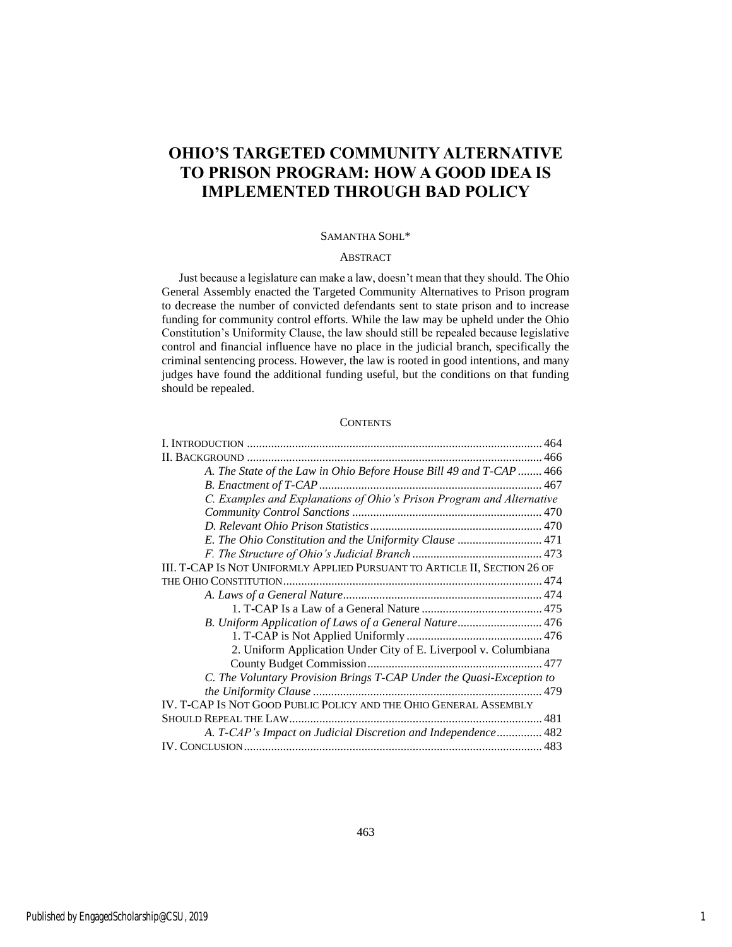# **OHIO'S TARGETED COMMUNITY ALTERNATIVE TO PRISON PROGRAM: HOW A GOOD IDEA IS IMPLEMENTED THROUGH BAD POLICY**

#### SAMANTHA SOHL\*

# ABSTRACT

Just because a legislature can make a law, doesn't mean that they should. The Ohio General Assembly enacted the Targeted Community Alternatives to Prison program to decrease the number of convicted defendants sent to state prison and to increase funding for community control efforts. While the law may be upheld under the Ohio Constitution's Uniformity Clause, the law should still be repealed because legislative control and financial influence have no place in the judicial branch, specifically the criminal sentencing process. However, the law is rooted in good intentions, and many judges have found the additional funding useful, but the conditions on that funding should be repealed.

#### **CONTENTS**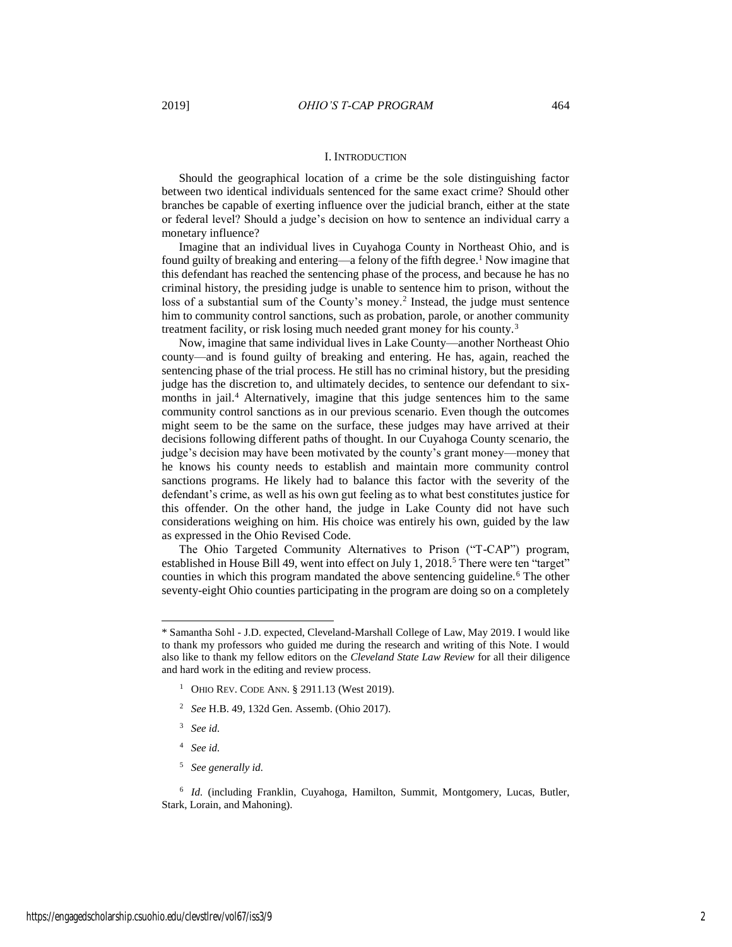# I. INTRODUCTION

Should the geographical location of a crime be the sole distinguishing factor between two identical individuals sentenced for the same exact crime? Should other branches be capable of exerting influence over the judicial branch, either at the state or federal level? Should a judge's decision on how to sentence an individual carry a monetary influence?

Imagine that an individual lives in Cuyahoga County in Northeast Ohio, and is found guilty of breaking and entering—a felony of the fifth degree.<sup>1</sup> Now imagine that this defendant has reached the sentencing phase of the process, and because he has no criminal history, the presiding judge is unable to sentence him to prison, without the loss of a substantial sum of the County's money.<sup>2</sup> Instead, the judge must sentence him to community control sanctions, such as probation, parole, or another community treatment facility, or risk losing much needed grant money for his county.<sup>3</sup>

Now, imagine that same individual lives in Lake County—another Northeast Ohio county—and is found guilty of breaking and entering. He has, again, reached the sentencing phase of the trial process. He still has no criminal history, but the presiding judge has the discretion to, and ultimately decides, to sentence our defendant to sixmonths in jail.<sup>4</sup> Alternatively, imagine that this judge sentences him to the same community control sanctions as in our previous scenario. Even though the outcomes might seem to be the same on the surface, these judges may have arrived at their decisions following different paths of thought. In our Cuyahoga County scenario, the judge's decision may have been motivated by the county's grant money—money that he knows his county needs to establish and maintain more community control sanctions programs. He likely had to balance this factor with the severity of the defendant's crime, as well as his own gut feeling as to what best constitutes justice for this offender. On the other hand, the judge in Lake County did not have such considerations weighing on him. His choice was entirely his own, guided by the law as expressed in the Ohio Revised Code.

The Ohio Targeted Community Alternatives to Prison ("T-CAP") program, established in House Bill 49, went into effect on July 1, 2018.<sup>5</sup> There were ten "target" counties in which this program mandated the above sentencing guideline.<sup>6</sup> The other seventy-eight Ohio counties participating in the program are doing so on a completely

- 2 *See* H.B. 49, 132d Gen. Assemb. (Ohio 2017).
- 3 *See id.*

 $\overline{a}$ 

- 4 *See id.*
- 5 *See generally id.*

<sup>6</sup> Id. (including Franklin, Cuyahoga, Hamilton, Summit, Montgomery, Lucas, Butler, Stark, Lorain, and Mahoning).

<sup>\*</sup> Samantha Sohl - J.D. expected, Cleveland-Marshall College of Law, May 2019. I would like to thank my professors who guided me during the research and writing of this Note. I would also like to thank my fellow editors on the *Cleveland State Law Review* for all their diligence and hard work in the editing and review process.

<sup>&</sup>lt;sup>1</sup> OHIO REV. CODE ANN. § 2911.13 (West 2019).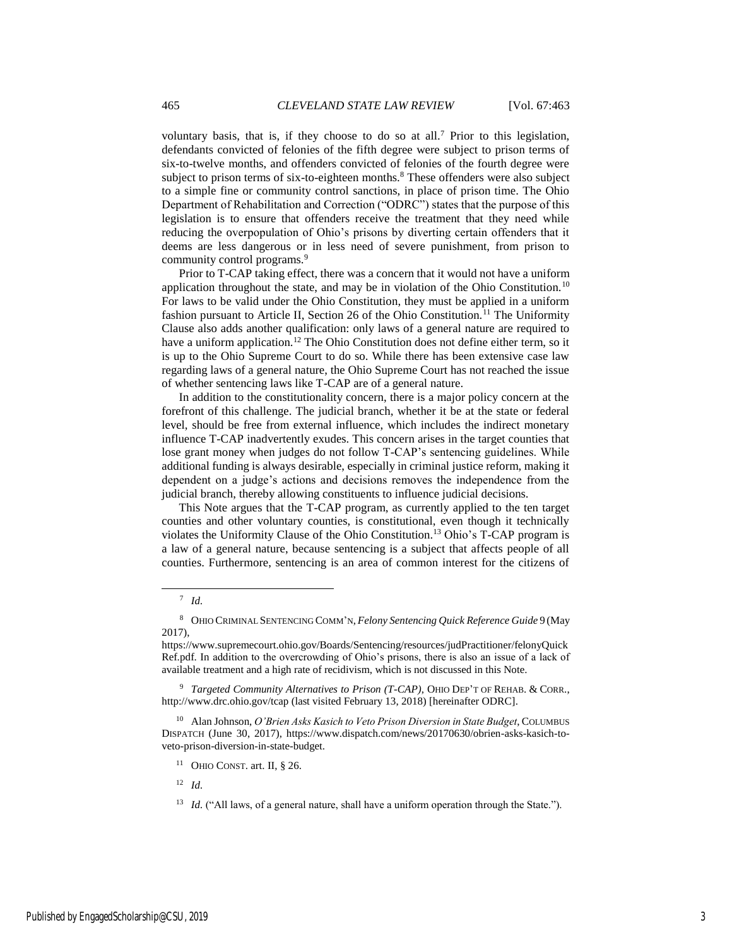voluntary basis, that is, if they choose to do so at all.<sup>7</sup> Prior to this legislation, defendants convicted of felonies of the fifth degree were subject to prison terms of six-to-twelve months, and offenders convicted of felonies of the fourth degree were subject to prison terms of six-to-eighteen months. $8$  These offenders were also subject to a simple fine or community control sanctions, in place of prison time. The Ohio Department of Rehabilitation and Correction ("ODRC") states that the purpose of this legislation is to ensure that offenders receive the treatment that they need while reducing the overpopulation of Ohio's prisons by diverting certain offenders that it deems are less dangerous or in less need of severe punishment, from prison to community control programs.<sup>9</sup>

Prior to T-CAP taking effect, there was a concern that it would not have a uniform application throughout the state, and may be in violation of the Ohio Constitution.<sup>10</sup> For laws to be valid under the Ohio Constitution, they must be applied in a uniform fashion pursuant to Article II, Section 26 of the Ohio Constitution.<sup>11</sup> The Uniformity Clause also adds another qualification: only laws of a general nature are required to have a uniform application.<sup>12</sup> The Ohio Constitution does not define either term, so it is up to the Ohio Supreme Court to do so. While there has been extensive case law regarding laws of a general nature, the Ohio Supreme Court has not reached the issue of whether sentencing laws like T-CAP are of a general nature.

In addition to the constitutionality concern, there is a major policy concern at the forefront of this challenge. The judicial branch, whether it be at the state or federal level, should be free from external influence, which includes the indirect monetary influence T-CAP inadvertently exudes. This concern arises in the target counties that lose grant money when judges do not follow T-CAP's sentencing guidelines. While additional funding is always desirable, especially in criminal justice reform, making it dependent on a judge's actions and decisions removes the independence from the judicial branch, thereby allowing constituents to influence judicial decisions.

This Note argues that the T-CAP program, as currently applied to the ten target counties and other voluntary counties, is constitutional, even though it technically violates the Uniformity Clause of the Ohio Constitution.<sup>13</sup> Ohio's T-CAP program is a law of a general nature, because sentencing is a subject that affects people of all counties. Furthermore, sentencing is an area of common interest for the citizens of

<sup>7</sup> *Id.*

<sup>8</sup> OHIO CRIMINAL SENTENCING COMM'N, *Felony Sentencing Quick Reference Guide* 9 (May 2017),

https://www.supremecourt.ohio.gov/Boards/Sentencing/resources/judPractitioner/felonyQuick Ref.pdf. In addition to the overcrowding of Ohio's prisons, there is also an issue of a lack of available treatment and a high rate of recidivism, which is not discussed in this Note.

<sup>&</sup>lt;sup>9</sup> Targeted Community Alternatives to Prison (T-CAP), OHIO DEP'T OF REHAB. & CORR., http://www.drc.ohio.gov/tcap (last visited February 13, 2018) [hereinafter ODRC].

<sup>10</sup> Alan Johnson, *O'Brien Asks Kasich to Veto Prison Diversion in State Budget*, COLUMBUS DISPATCH (June 30, 2017), https://www.dispatch.com/news/20170630/obrien-asks-kasich-toveto-prison-diversion-in-state-budget.

<sup>&</sup>lt;sup>11</sup> OHIO CONST. art. II,  $\S$  26.

<sup>12</sup> *Id.*

<sup>&</sup>lt;sup>13</sup> *Id.* ("All laws, of a general nature, shall have a uniform operation through the State.").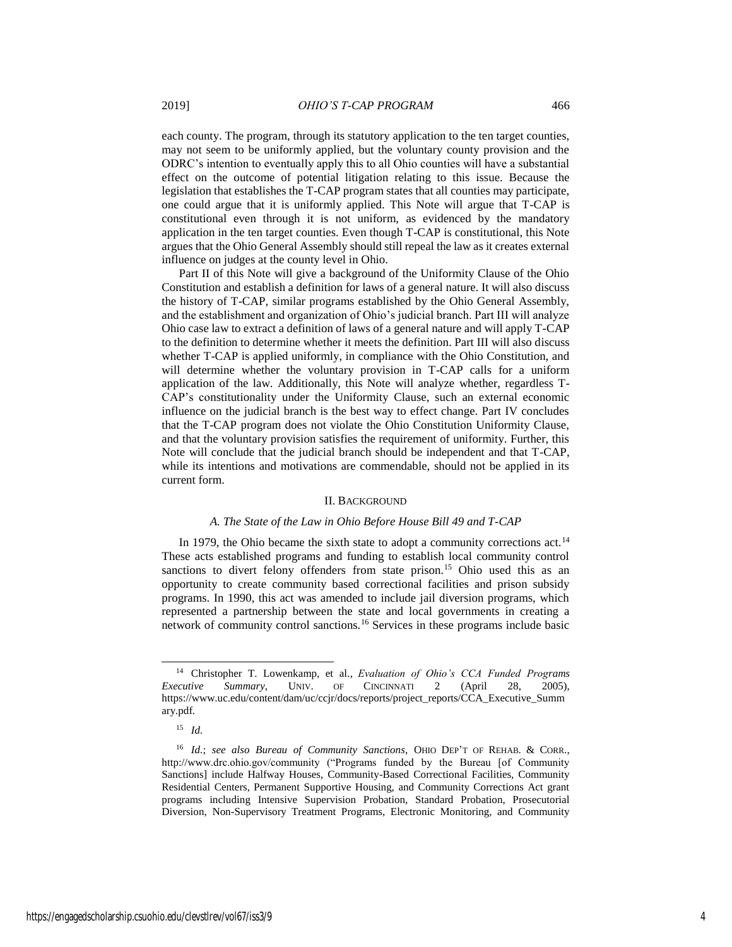each county. The program, through its statutory application to the ten target counties, may not seem to be uniformly applied, but the voluntary county provision and the ODRC's intention to eventually apply this to all Ohio counties will have a substantial effect on the outcome of potential litigation relating to this issue. Because the legislation that establishes the T-CAP program states that all counties may participate, one could argue that it is uniformly applied. This Note will argue that T-CAP is constitutional even through it is not uniform, as evidenced by the mandatory application in the ten target counties. Even though T-CAP is constitutional, this Note argues that the Ohio General Assembly should still repeal the law as it creates external influence on judges at the county level in Ohio.

Part II of this Note will give a background of the Uniformity Clause of the Ohio Constitution and establish a definition for laws of a general nature. It will also discuss the history of T-CAP, similar programs established by the Ohio General Assembly, and the establishment and organization of Ohio's judicial branch. Part III will analyze Ohio case law to extract a definition of laws of a general nature and will apply T-CAP to the definition to determine whether it meets the definition. Part III will also discuss whether T-CAP is applied uniformly, in compliance with the Ohio Constitution, and will determine whether the voluntary provision in T-CAP calls for a uniform application of the law. Additionally, this Note will analyze whether, regardless T-CAP's constitutionality under the Uniformity Clause, such an external economic influence on the judicial branch is the best way to effect change. Part IV concludes that the T-CAP program does not violate the Ohio Constitution Uniformity Clause, and that the voluntary provision satisfies the requirement of uniformity. Further, this Note will conclude that the judicial branch should be independent and that T-CAP, while its intentions and motivations are commendable, should not be applied in its current form.

#### II. BACKGROUND

#### *A. The State of the Law in Ohio Before House Bill 49 and T-CAP*

In 1979, the Ohio became the sixth state to adopt a community corrections act.<sup>14</sup> These acts established programs and funding to establish local community control sanctions to divert felony offenders from state prison.<sup>15</sup> Ohio used this as an opportunity to create community based correctional facilities and prison subsidy programs. In 1990, this act was amended to include jail diversion programs, which represented a partnership between the state and local governments in creating a network of community control sanctions.<sup>16</sup> Services in these programs include basic

<sup>14</sup> Christopher T. Lowenkamp, et al., *Evaluation of Ohio's CCA Funded Programs Executive Summary*, UNIV. OF CINCINNATI 2 (April 28, 2005), https://www.uc.edu/content/dam/uc/ccjr/docs/reports/project\_reports/CCA\_Executive\_Summ ary.pdf.

<sup>15</sup> *Id.*

<sup>16</sup> *Id.*; *see also Bureau of Community Sanctions*, OHIO DEP'T OF REHAB. & CORR., http://www.drc.ohio.gov/community ("Programs funded by the Bureau [of Community Sanctions] include Halfway Houses, Community-Based Correctional Facilities, Community Residential Centers, Permanent Supportive Housing, and Community Corrections Act grant programs including Intensive Supervision Probation, Standard Probation, Prosecutorial Diversion, Non-Supervisory Treatment Programs, Electronic Monitoring, and Community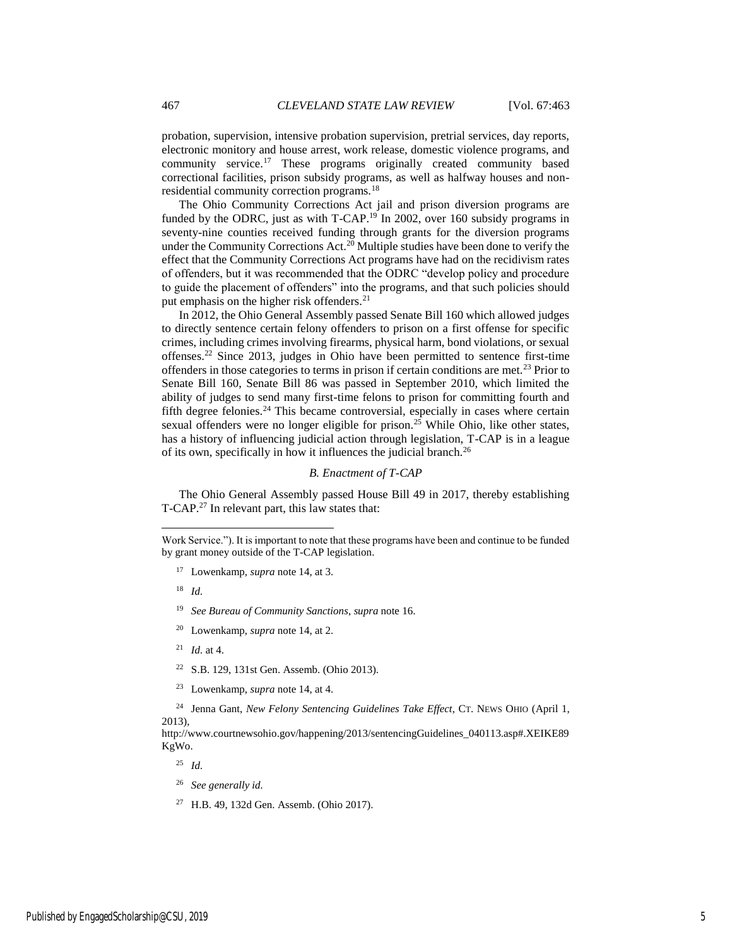probation, supervision, intensive probation supervision, pretrial services, day reports, electronic monitory and house arrest, work release, domestic violence programs, and community service.<sup>17</sup> These programs originally created community based correctional facilities, prison subsidy programs, as well as halfway houses and nonresidential community correction programs.<sup>18</sup>

The Ohio Community Corrections Act jail and prison diversion programs are funded by the ODRC, just as with T-CAP.<sup>19</sup> In 2002, over 160 subsidy programs in seventy-nine counties received funding through grants for the diversion programs under the Community Corrections Act.<sup>20</sup> Multiple studies have been done to verify the effect that the Community Corrections Act programs have had on the recidivism rates of offenders, but it was recommended that the ODRC "develop policy and procedure to guide the placement of offenders" into the programs, and that such policies should put emphasis on the higher risk offenders.<sup>21</sup>

In 2012, the Ohio General Assembly passed Senate Bill 160 which allowed judges to directly sentence certain felony offenders to prison on a first offense for specific crimes, including crimes involving firearms, physical harm, bond violations, or sexual offenses.<sup>22</sup> Since 2013, judges in Ohio have been permitted to sentence first-time offenders in those categories to terms in prison if certain conditions are met.<sup>23</sup> Prior to Senate Bill 160, Senate Bill 86 was passed in September 2010, which limited the ability of judges to send many first-time felons to prison for committing fourth and fifth degree felonies.<sup>24</sup> This became controversial, especially in cases where certain sexual offenders were no longer eligible for prison.<sup>25</sup> While Ohio, like other states, has a history of influencing judicial action through legislation, T-CAP is in a league of its own, specifically in how it influences the judicial branch.<sup>26</sup>

# *B. Enactment of T-CAP*

The Ohio General Assembly passed House Bill 49 in 2017, thereby establishing T-CAP.<sup>27</sup> In relevant part, this law states that:

18 *Id.*

 $\overline{a}$ 

- 19 *See Bureau of Community Sanctions*, *supra* note 16.
- <sup>20</sup> Lowenkamp, *supra* note 14, at 2.
- <sup>21</sup> *Id.* at 4.
- <sup>22</sup> S.B. 129, 131st Gen. Assemb. (Ohio 2013).
- <sup>23</sup> Lowenkamp, *supra* note 14, at 4.

<sup>24</sup> Jenna Gant, *New Felony Sentencing Guidelines Take Effect*, CT. NEWS OHIO (April 1, 2013),

http://www.courtnewsohio.gov/happening/2013/sentencingGuidelines\_040113.asp#.XEIKE89 KgWo.

25 *Id.*

- 26 *See generally id.*
- <sup>27</sup> H.B. 49, 132d Gen. Assemb. (Ohio 2017).

Work Service."). It is important to note that these programs have been and continue to be funded by grant money outside of the T-CAP legislation.

<sup>17</sup> Lowenkamp, *supra* note 14, at 3.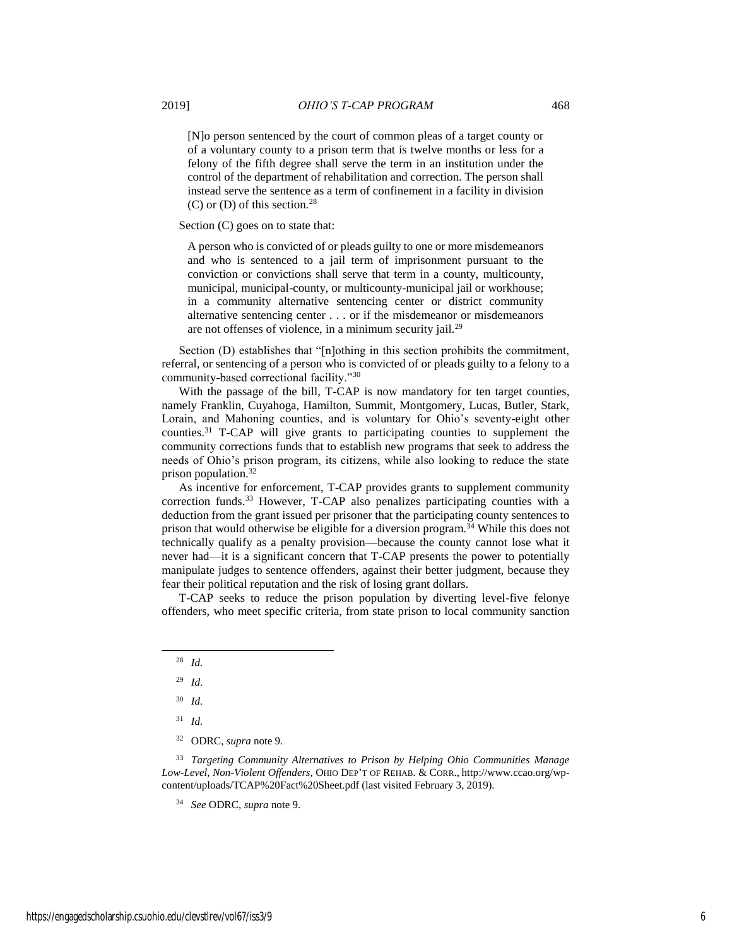[N]o person sentenced by the court of common pleas of a target county or of a voluntary county to a prison term that is twelve months or less for a felony of the fifth degree shall serve the term in an institution under the control of the department of rehabilitation and correction. The person shall instead serve the sentence as a term of confinement in a facility in division

 $(C)$  or  $(D)$  of this section.<sup>28</sup> Section (C) goes on to state that:

A person who is convicted of or pleads guilty to one or more misdemeanors and who is sentenced to a jail term of imprisonment pursuant to the conviction or convictions shall serve that term in a county, multicounty, municipal, municipal-county, or multicounty-municipal jail or workhouse; in a community alternative sentencing center or district community alternative sentencing center . . . or if the misdemeanor or misdemeanors are not offenses of violence, in a minimum security jail.<sup>29</sup>

Section (D) establishes that "[n]othing in this section prohibits the commitment, referral, or sentencing of a person who is convicted of or pleads guilty to a felony to a community-based correctional facility."<sup>30</sup>

With the passage of the bill, T-CAP is now mandatory for ten target counties, namely Franklin, Cuyahoga, Hamilton, Summit, Montgomery, Lucas, Butler, Stark, Lorain, and Mahoning counties, and is voluntary for Ohio's seventy-eight other counties.<sup>31</sup> T-CAP will give grants to participating counties to supplement the community corrections funds that to establish new programs that seek to address the needs of Ohio's prison program, its citizens, while also looking to reduce the state prison population.<sup>32</sup>

As incentive for enforcement, T-CAP provides grants to supplement community correction funds.<sup>33</sup> However, T-CAP also penalizes participating counties with a deduction from the grant issued per prisoner that the participating county sentences to prison that would otherwise be eligible for a diversion program.<sup>34</sup> While this does not technically qualify as a penalty provision—because the county cannot lose what it never had—it is a significant concern that T-CAP presents the power to potentially manipulate judges to sentence offenders, against their better judgment, because they fear their political reputation and the risk of losing grant dollars.

T-CAP seeks to reduce the prison population by diverting level-five felonye offenders, who meet specific criteria, from state prison to local community sanction

<sup>28</sup> *Id.*

<sup>29</sup> *Id.*

<sup>30</sup> *Id.*

<sup>31</sup> *Id.*

<sup>32</sup> ODRC, *supra* note 9.

<sup>33</sup> *Targeting Community Alternatives to Prison by Helping Ohio Communities Manage Low-Level, Non-Violent Offenders*, OHIO DEP'T OF REHAB. & CORR., http://www.ccao.org/wpcontent/uploads/TCAP%20Fact%20Sheet.pdf (last visited February 3, 2019).

<sup>34</sup> *See* ODRC, *supra* note 9.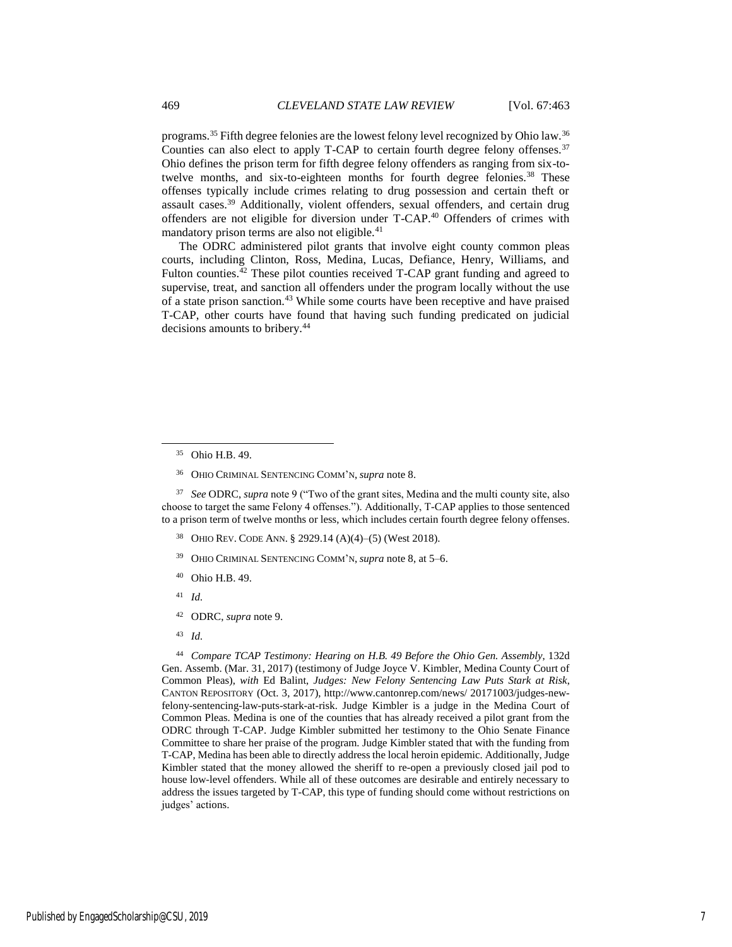programs.<sup>35</sup> Fifth degree felonies are the lowest felony level recognized by Ohio law.<sup>36</sup> Counties can also elect to apply T-CAP to certain fourth degree felony offenses.<sup>37</sup> Ohio defines the prison term for fifth degree felony offenders as ranging from six-totwelve months, and six-to-eighteen months for fourth degree felonies.<sup>38</sup> These offenses typically include crimes relating to drug possession and certain theft or assault cases.<sup>39</sup> Additionally, violent offenders, sexual offenders, and certain drug offenders are not eligible for diversion under T-CAP.<sup>40</sup> Offenders of crimes with mandatory prison terms are also not eligible.<sup>41</sup>

The ODRC administered pilot grants that involve eight county common pleas courts, including Clinton, Ross, Medina, Lucas, Defiance, Henry, Williams, and Fulton counties. $42$  These pilot counties received T-CAP grant funding and agreed to supervise, treat, and sanction all offenders under the program locally without the use of a state prison sanction.<sup>43</sup> While some courts have been receptive and have praised T-CAP, other courts have found that having such funding predicated on judicial decisions amounts to bribery.<sup>44</sup>

 $\overline{a}$ 

37 *See* ODRC, *supra* note 9 ("Two of the grant sites, Medina and the multi county site, also choose to target the same Felony 4 offenses."). Additionally, T-CAP applies to those sentenced to a prison term of twelve months or less, which includes certain fourth degree felony offenses.

- <sup>38</sup> OHIO REV. CODE ANN. § 2929.14 (A)(4)–(5) (West 2018).
- <sup>39</sup> OHIO CRIMINAL SENTENCING COMM'N, *supra* note 8, at 5–6.
- <sup>40</sup> Ohio H.B. 49.
- 41 *Id.*
- <sup>42</sup> ODRC, *supra* note 9.
- 43 *Id.*

44 *Compare TCAP Testimony: Hearing on H.B. 49 Before the Ohio Gen. Assembly*, 132d Gen. Assemb. (Mar. 31, 2017) (testimony of Judge Joyce V. Kimbler, Medina County Court of Common Pleas), *with* Ed Balint, *Judges: New Felony Sentencing Law Puts Stark at Risk*, CANTON REPOSITORY (Oct. 3, 2017), http://www.cantonrep.com/news/ 20171003/judges-newfelony-sentencing-law-puts-stark-at-risk. Judge Kimbler is a judge in the Medina Court of Common Pleas. Medina is one of the counties that has already received a pilot grant from the ODRC through T-CAP. Judge Kimbler submitted her testimony to the Ohio Senate Finance Committee to share her praise of the program. Judge Kimbler stated that with the funding from T-CAP, Medina has been able to directly address the local heroin epidemic. Additionally, Judge Kimbler stated that the money allowed the sheriff to re-open a previously closed jail pod to house low-level offenders. While all of these outcomes are desirable and entirely necessary to address the issues targeted by T-CAP, this type of funding should come without restrictions on judges' actions.

<sup>35</sup> Ohio H.B. 49.

<sup>36</sup> OHIO CRIMINAL SENTENCING COMM'N, *supra* note 8.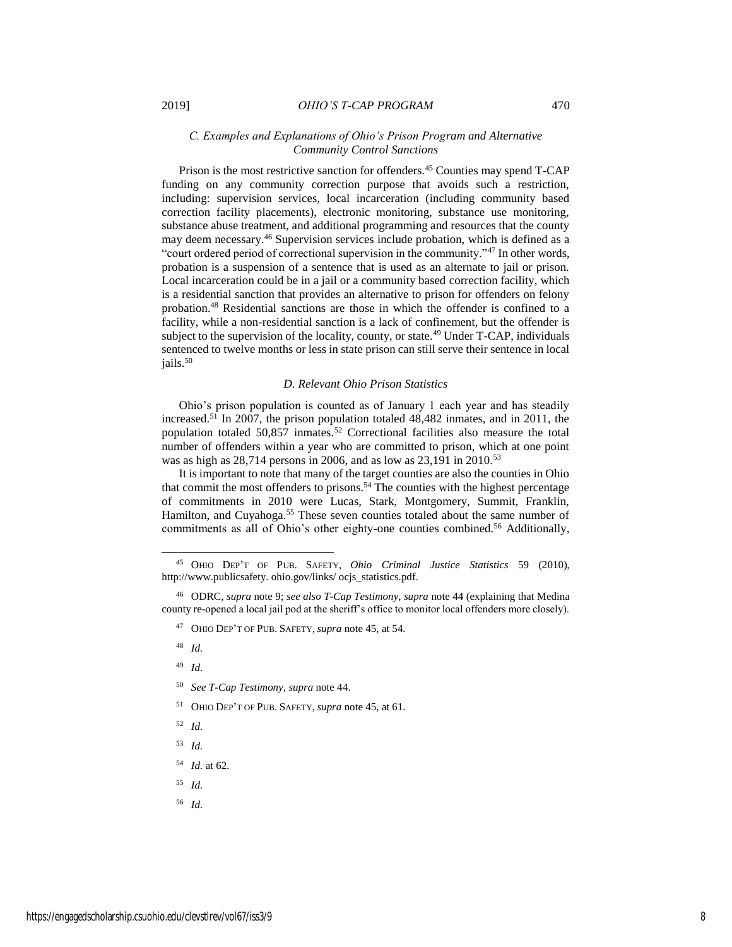# *C. Examples and Explanations of Ohio's Prison Program and Alternative Community Control Sanctions*

Prison is the most restrictive sanction for offenders.<sup>45</sup> Counties may spend T-CAP funding on any community correction purpose that avoids such a restriction, including: supervision services, local incarceration (including community based correction facility placements), electronic monitoring, substance use monitoring, substance abuse treatment, and additional programming and resources that the county may deem necessary.<sup>46</sup> Supervision services include probation, which is defined as a "court ordered period of correctional supervision in the community."<sup>47</sup> In other words, probation is a suspension of a sentence that is used as an alternate to jail or prison. Local incarceration could be in a jail or a community based correction facility, which is a residential sanction that provides an alternative to prison for offenders on felony probation.<sup>48</sup> Residential sanctions are those in which the offender is confined to a facility, while a non-residential sanction is a lack of confinement, but the offender is subject to the supervision of the locality, county, or state.<sup>49</sup> Under T-CAP, individuals sentenced to twelve months or less in state prison can still serve their sentence in local jails.<sup>50</sup>

#### *D. Relevant Ohio Prison Statistics*

Ohio's prison population is counted as of January 1 each year and has steadily increased.<sup>51</sup> In 2007, the prison population totaled 48,482 inmates, and in 2011, the population totaled  $50,857$  inmates.<sup>52</sup> Correctional facilities also measure the total number of offenders within a year who are committed to prison, which at one point was as high as 28,714 persons in 2006, and as low as 23,191 in 2010.<sup>53</sup>

It is important to note that many of the target counties are also the counties in Ohio that commit the most offenders to prisons.<sup>54</sup> The counties with the highest percentage of commitments in 2010 were Lucas, Stark, Montgomery, Summit, Franklin, Hamilton, and Cuyahoga.<sup>55</sup> These seven counties totaled about the same number of commitments as all of Ohio's other eighty-one counties combined.<sup>56</sup> Additionally,

- 49 *Id.*
- 50 *See T-Cap Testimony*, *supra* note 44.
- <sup>51</sup> OHIO DEP'T OF PUB. SAFETY, *supra* note 45, at 61.
- 52 *Id.*
- 53 *Id.*
- 54 *Id.* at 62.
- 55 *Id.*
- 56 *Id.*

<sup>45</sup> OHIO DEP'T OF PUB. SAFETY, *Ohio Criminal Justice Statistics* 59 (2010), http://www.publicsafety. ohio.gov/links/ ocjs\_statistics.pdf.

<sup>46</sup> ODRC, *supra* note 9; *see also T-Cap Testimony*, *supra* note 44 (explaining that Medina county re-opened a local jail pod at the sheriff's office to monitor local offenders more closely).

<sup>47</sup> OHIO DEP'T OF PUB. SAFETY, *supra* note 45, at 54.

<sup>48</sup> *Id.*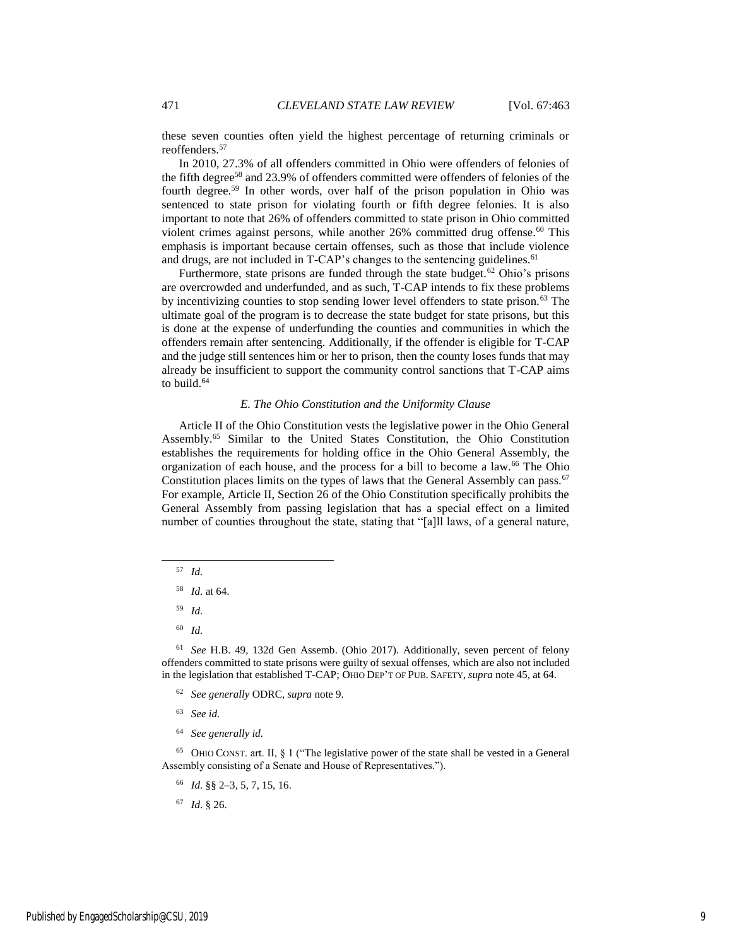these seven counties often yield the highest percentage of returning criminals or reoffenders.<sup>57</sup>

In 2010, 27.3% of all offenders committed in Ohio were offenders of felonies of the fifth degree<sup>58</sup> and 23.9% of offenders committed were offenders of felonies of the fourth degree.<sup>59</sup> In other words, over half of the prison population in Ohio was sentenced to state prison for violating fourth or fifth degree felonies. It is also important to note that 26% of offenders committed to state prison in Ohio committed violent crimes against persons, while another 26% committed drug offense.<sup>60</sup> This emphasis is important because certain offenses, such as those that include violence and drugs, are not included in T-CAP's changes to the sentencing guidelines.<sup>61</sup>

Furthermore, state prisons are funded through the state budget.<sup>62</sup> Ohio's prisons are overcrowded and underfunded, and as such, T-CAP intends to fix these problems by incentivizing counties to stop sending lower level offenders to state prison.<sup>63</sup> The ultimate goal of the program is to decrease the state budget for state prisons, but this is done at the expense of underfunding the counties and communities in which the offenders remain after sentencing. Additionally, if the offender is eligible for T-CAP and the judge still sentences him or her to prison, then the county loses funds that may already be insufficient to support the community control sanctions that T-CAP aims to build.<sup>64</sup>

#### *E. The Ohio Constitution and the Uniformity Clause*

Article II of the Ohio Constitution vests the legislative power in the Ohio General Assembly.<sup>65</sup> Similar to the United States Constitution, the Ohio Constitution establishes the requirements for holding office in the Ohio General Assembly, the organization of each house, and the process for a bill to become a law.<sup>66</sup> The Ohio Constitution places limits on the types of laws that the General Assembly can pass.<sup>67</sup> For example, Article II, Section 26 of the Ohio Constitution specifically prohibits the General Assembly from passing legislation that has a special effect on a limited number of counties throughout the state, stating that "[a]ll laws, of a general nature,

57 *Id.*

 $\overline{a}$ 

- 58 *Id.* at 64.
- 59 *Id.*
- 60 *Id.*

61 *See* H.B. 49, 132d Gen Assemb. (Ohio 2017). Additionally, seven percent of felony offenders committed to state prisons were guilty of sexual offenses, which are also not included in the legislation that established T-CAP; OHIO DEP'T OF PUB. SAFETY, *supra* note 45, at 64.

- 62 *See generally* ODRC, *supra* note 9.
- 63 *See id.*
- 64 *See generally id.*

<sup>65</sup> OHIO CONST. art. II, § 1 ("The legislative power of the state shall be vested in a General Assembly consisting of a Senate and House of Representatives.").

- 66 *Id.* §§ 2–3, 5, 7, 15, 16.
- 67 *Id.* § 26.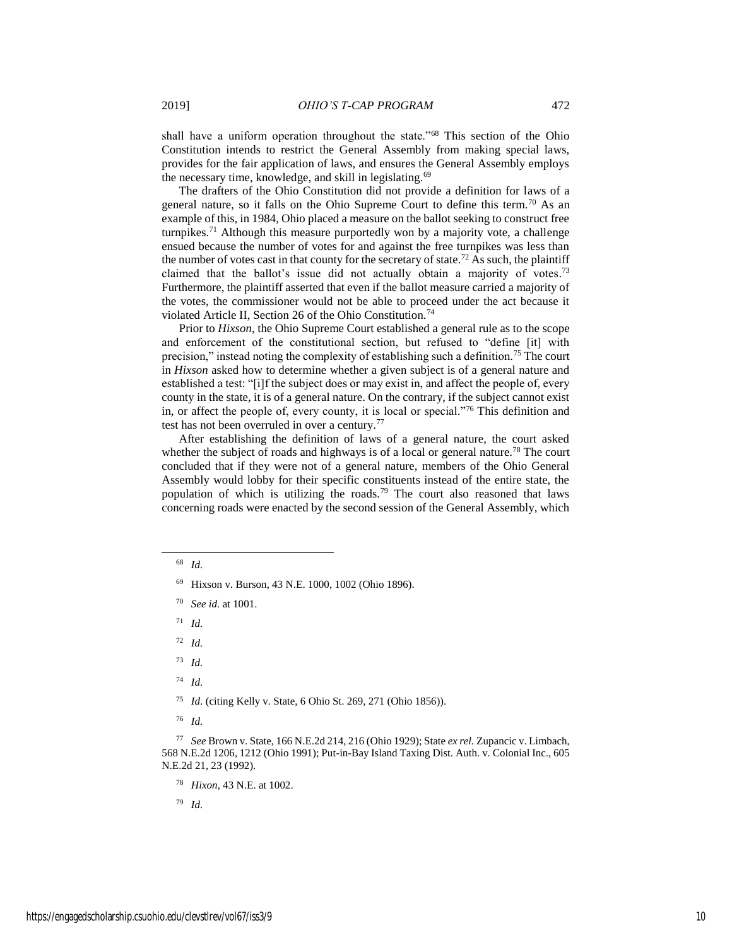shall have a uniform operation throughout the state."<sup>68</sup> This section of the Ohio Constitution intends to restrict the General Assembly from making special laws, provides for the fair application of laws, and ensures the General Assembly employs the necessary time, knowledge, and skill in legislating.<sup>69</sup>

The drafters of the Ohio Constitution did not provide a definition for laws of a general nature, so it falls on the Ohio Supreme Court to define this term.<sup>70</sup> As an example of this, in 1984, Ohio placed a measure on the ballot seeking to construct free turnpikes.<sup>71</sup> Although this measure purportedly won by a majority vote, a challenge ensued because the number of votes for and against the free turnpikes was less than the number of votes cast in that county for the secretary of state.<sup>72</sup> As such, the plaintiff claimed that the ballot's issue did not actually obtain a majority of votes.<sup>73</sup> Furthermore, the plaintiff asserted that even if the ballot measure carried a majority of the votes, the commissioner would not be able to proceed under the act because it violated Article II, Section 26 of the Ohio Constitution.<sup>74</sup>

Prior to *Hixson*, the Ohio Supreme Court established a general rule as to the scope and enforcement of the constitutional section, but refused to "define [it] with precision," instead noting the complexity of establishing such a definition.<sup>75</sup> The court in *Hixson* asked how to determine whether a given subject is of a general nature and established a test: "[i]f the subject does or may exist in, and affect the people of, every county in the state, it is of a general nature. On the contrary, if the subject cannot exist in, or affect the people of, every county, it is local or special."<sup>76</sup> This definition and test has not been overruled in over a century.<sup>77</sup>

After establishing the definition of laws of a general nature, the court asked whether the subject of roads and highways is of a local or general nature.<sup>78</sup> The court concluded that if they were not of a general nature, members of the Ohio General Assembly would lobby for their specific constituents instead of the entire state, the population of which is utilizing the roads.<sup>79</sup> The court also reasoned that laws concerning roads were enacted by the second session of the General Assembly, which

 $\overline{a}$ 

72 *Id.*

74 *Id.*

75 *Id.* (citing Kelly v. State, 6 Ohio St. 269, 271 (Ohio 1856)).

76 *Id.*

77 *See* Brown v. State, 166 N.E.2d 214, 216 (Ohio 1929); State *ex rel.* Zupancic v. Limbach, 568 N.E.2d 1206, 1212 (Ohio 1991); Put-in-Bay Island Taxing Dist. Auth. v. Colonial Inc., 605 N.E.2d 21, 23 (1992).

78 *Hixon*, 43 N.E. at 1002.

79 *Id.*

<sup>68</sup> *Id.*

<sup>69</sup> Hixson v. Burson, 43 N.E. 1000, 1002 (Ohio 1896).

<sup>70</sup> *See id.* at 1001.

<sup>71</sup> *Id.*

<sup>73</sup> *Id.*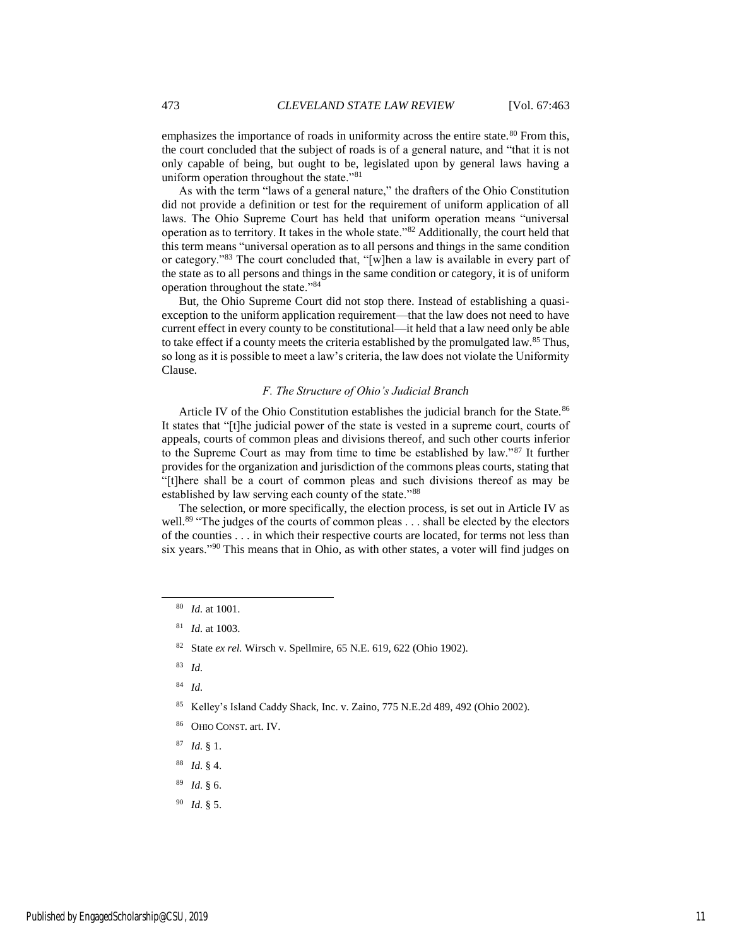emphasizes the importance of roads in uniformity across the entire state.<sup>80</sup> From this, the court concluded that the subject of roads is of a general nature, and "that it is not only capable of being, but ought to be, legislated upon by general laws having a uniform operation throughout the state."<sup>81</sup>

As with the term "laws of a general nature," the drafters of the Ohio Constitution did not provide a definition or test for the requirement of uniform application of all laws. The Ohio Supreme Court has held that uniform operation means "universal operation as to territory. It takes in the whole state."<sup>82</sup> Additionally, the court held that this term means "universal operation as to all persons and things in the same condition or category."<sup>83</sup> The court concluded that, "[w]hen a law is available in every part of the state as to all persons and things in the same condition or category, it is of uniform operation throughout the state."<sup>84</sup>

But, the Ohio Supreme Court did not stop there. Instead of establishing a quasiexception to the uniform application requirement—that the law does not need to have current effect in every county to be constitutional—it held that a law need only be able to take effect if a county meets the criteria established by the promulgated law.<sup>85</sup> Thus, so long as it is possible to meet a law's criteria, the law does not violate the Uniformity Clause.

#### *F. The Structure of Ohio's Judicial Branch*

Article IV of the Ohio Constitution establishes the judicial branch for the State.<sup>86</sup> It states that "[t]he judicial power of the state is vested in a supreme court, courts of appeals, courts of common pleas and divisions thereof, and such other courts inferior to the Supreme Court as may from time to time be established by law."<sup>87</sup> It further provides for the organization and jurisdiction of the commons pleas courts, stating that "[t]here shall be a court of common pleas and such divisions thereof as may be established by law serving each county of the state."88

The selection, or more specifically, the election process, is set out in Article IV as well.<sup>89</sup> "The judges of the courts of common pleas . . . shall be elected by the electors of the counties . . . in which their respective courts are located, for terms not less than six years."<sup>90</sup> This means that in Ohio, as with other states, a voter will find judges on

- 87 *Id.* § 1.
- 88 *Id.* § 4.
- 89 *Id.* § 6.
- 90 *Id.* § 5.

<sup>80</sup> *Id.* at 1001.

<sup>81</sup> *Id.* at 1003.

<sup>82</sup> State *ex rel.* Wirsch v. Spellmire, 65 N.E. 619, 622 (Ohio 1902).

<sup>83</sup> *Id.*

<sup>84</sup> *Id.*

<sup>85</sup> Kelley's Island Caddy Shack, Inc. v. Zaino, 775 N.E.2d 489, 492 (Ohio 2002).

<sup>86</sup> OHIO CONST. art. IV.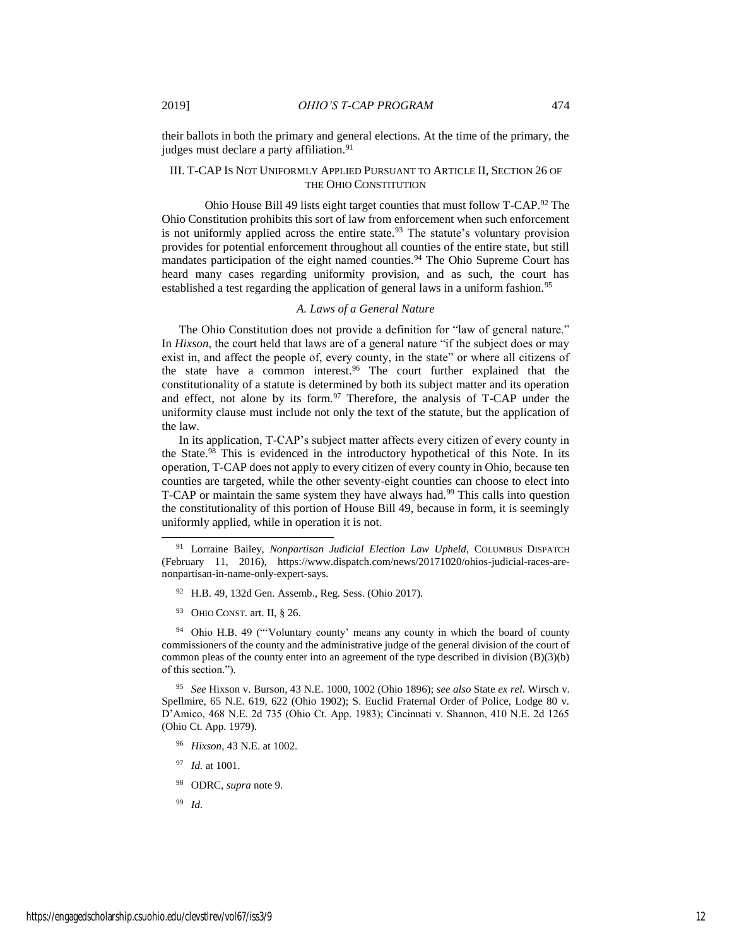their ballots in both the primary and general elections. At the time of the primary, the judges must declare a party affiliation.<sup>91</sup>

# III. T-CAP IS NOT UNIFORMLY APPLIED PURSUANT TO ARTICLE II, SECTION 26 OF THE OHIO CONSTITUTION

 Ohio House Bill 49 lists eight target counties that must follow T-CAP.<sup>92</sup> The Ohio Constitution prohibits this sort of law from enforcement when such enforcement is not uniformly applied across the entire state.<sup>93</sup> The statute's voluntary provision provides for potential enforcement throughout all counties of the entire state, but still mandates participation of the eight named counties.<sup>94</sup> The Ohio Supreme Court has heard many cases regarding uniformity provision, and as such, the court has established a test regarding the application of general laws in a uniform fashion.<sup>95</sup>

#### *A. Laws of a General Nature*

The Ohio Constitution does not provide a definition for "law of general nature." In *Hixson*, the court held that laws are of a general nature "if the subject does or may exist in, and affect the people of, every county, in the state" or where all citizens of the state have a common interest.<sup>96</sup> The court further explained that the constitutionality of a statute is determined by both its subject matter and its operation and effect, not alone by its form. $97$  Therefore, the analysis of T-CAP under the uniformity clause must include not only the text of the statute, but the application of the law.

In its application, T-CAP's subject matter affects every citizen of every county in the State.<sup>98</sup> This is evidenced in the introductory hypothetical of this Note. In its operation, T-CAP does not apply to every citizen of every county in Ohio, because ten counties are targeted, while the other seventy-eight counties can choose to elect into T-CAP or maintain the same system they have always had.<sup>99</sup> This calls into question the constitutionality of this portion of House Bill 49, because in form, it is seemingly uniformly applied, while in operation it is not.

- <sup>92</sup> H.B. 49, 132d Gen. Assemb., Reg. Sess. (Ohio 2017).
- 93 OHIO CONST. art. II, § 26.

<sup>94</sup> Ohio H.B. 49 ("Voluntary county' means any county in which the board of county commissioners of the county and the administrative judge of the general division of the court of common pleas of the county enter into an agreement of the type described in division (B)(3)(b) of this section.").

95 *See* Hixson v. Burson, 43 N.E. 1000, 1002 (Ohio 1896); *see also* State *ex rel.* Wirsch v. Spellmire, 65 N.E. 619, 622 (Ohio 1902); S. Euclid Fraternal Order of Police, Lodge 80 v. D'Amico, 468 N.E. 2d 735 (Ohio Ct. App. 1983); Cincinnati v. Shannon, 410 N.E. 2d 1265 (Ohio Ct. App. 1979).

- 96 *Hixson*, 43 N.E. at 1002.
- 97 *Id.* at 1001.
- <sup>98</sup> ODRC, *supra* note 9.
- 99 *Id.*

<sup>91</sup> Lorraine Bailey, *Nonpartisan Judicial Election Law Upheld*, COLUMBUS DISPATCH (February 11, 2016), https://www.dispatch.com/news/20171020/ohios-judicial-races-arenonpartisan-in-name-only-expert-says.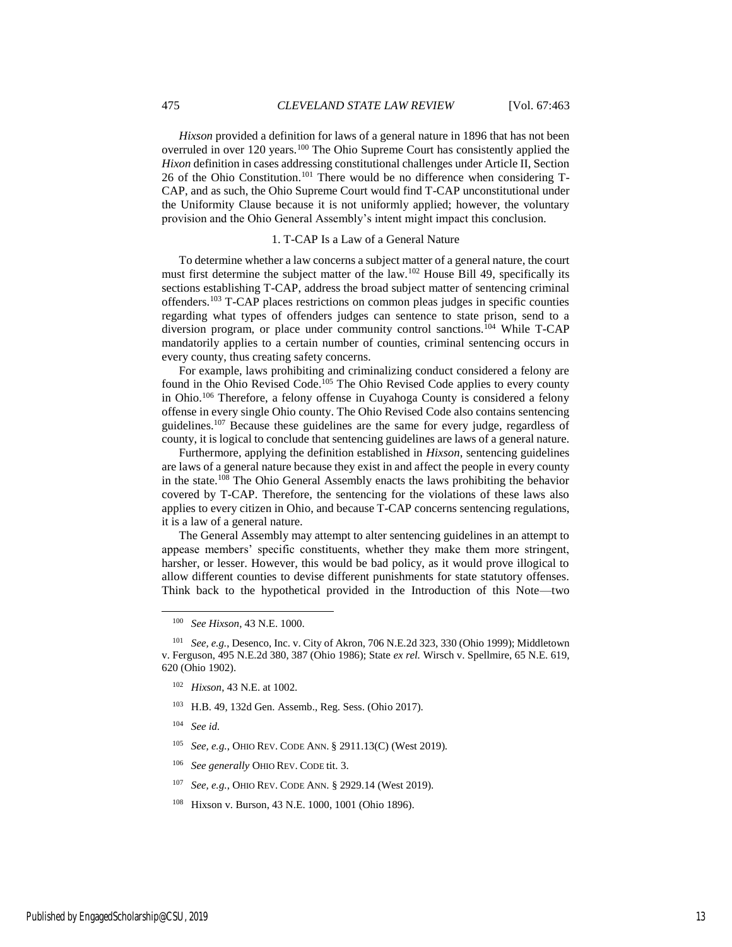*Hixson* provided a definition for laws of a general nature in 1896 that has not been overruled in over 120 years.<sup>100</sup> The Ohio Supreme Court has consistently applied the *Hixon* definition in cases addressing constitutional challenges under Article II, Section 26 of the Ohio Constitution.<sup>101</sup> There would be no difference when considering  $T$ -CAP, and as such, the Ohio Supreme Court would find T-CAP unconstitutional under the Uniformity Clause because it is not uniformly applied; however, the voluntary provision and the Ohio General Assembly's intent might impact this conclusion.

#### 1. T-CAP Is a Law of a General Nature

To determine whether a law concerns a subject matter of a general nature, the court must first determine the subject matter of the law.<sup>102</sup> House Bill 49, specifically its sections establishing T-CAP, address the broad subject matter of sentencing criminal offenders.<sup>103</sup> T-CAP places restrictions on common pleas judges in specific counties regarding what types of offenders judges can sentence to state prison, send to a diversion program, or place under community control sanctions.<sup>104</sup> While T-CAP mandatorily applies to a certain number of counties, criminal sentencing occurs in every county, thus creating safety concerns.

For example, laws prohibiting and criminalizing conduct considered a felony are found in the Ohio Revised Code.<sup>105</sup> The Ohio Revised Code applies to every county in Ohio.<sup>106</sup> Therefore, a felony offense in Cuyahoga County is considered a felony offense in every single Ohio county. The Ohio Revised Code also contains sentencing guidelines.<sup>107</sup> Because these guidelines are the same for every judge, regardless of county, it is logical to conclude that sentencing guidelines are laws of a general nature.

Furthermore, applying the definition established in *Hixson*, sentencing guidelines are laws of a general nature because they exist in and affect the people in every county in the state.<sup>108</sup> The Ohio General Assembly enacts the laws prohibiting the behavior covered by T-CAP. Therefore, the sentencing for the violations of these laws also applies to every citizen in Ohio, and because T-CAP concerns sentencing regulations, it is a law of a general nature.

The General Assembly may attempt to alter sentencing guidelines in an attempt to appease members' specific constituents, whether they make them more stringent, harsher, or lesser. However, this would be bad policy, as it would prove illogical to allow different counties to devise different punishments for state statutory offenses. Think back to the hypothetical provided in the Introduction of this Note—two

<sup>103</sup> H.B. 49, 132d Gen. Assemb., Reg. Sess. (Ohio 2017).

104 *See id.*

- 105 *See, e.g.*, OHIO REV. CODE ANN. § 2911.13(C) (West 2019).
- 106 *See generally* OHIO REV. CODE tit. 3.
- 107 *See, e.g.*, OHIO REV. CODE ANN. § 2929.14 (West 2019).
- <sup>108</sup> Hixson v. Burson, 43 N.E. 1000, 1001 (Ohio 1896).

<sup>100</sup> *See Hixson*, 43 N.E. 1000.

<sup>101</sup> *See, e.g.*, Desenco, Inc. v. City of Akron, 706 N.E.2d 323, 330 (Ohio 1999); Middletown v. Ferguson, 495 N.E.2d 380, 387 (Ohio 1986); State *ex rel.* Wirsch v. Spellmire, 65 N.E. 619, 620 (Ohio 1902).

<sup>102</sup> *Hixson*, 43 N.E. at 1002.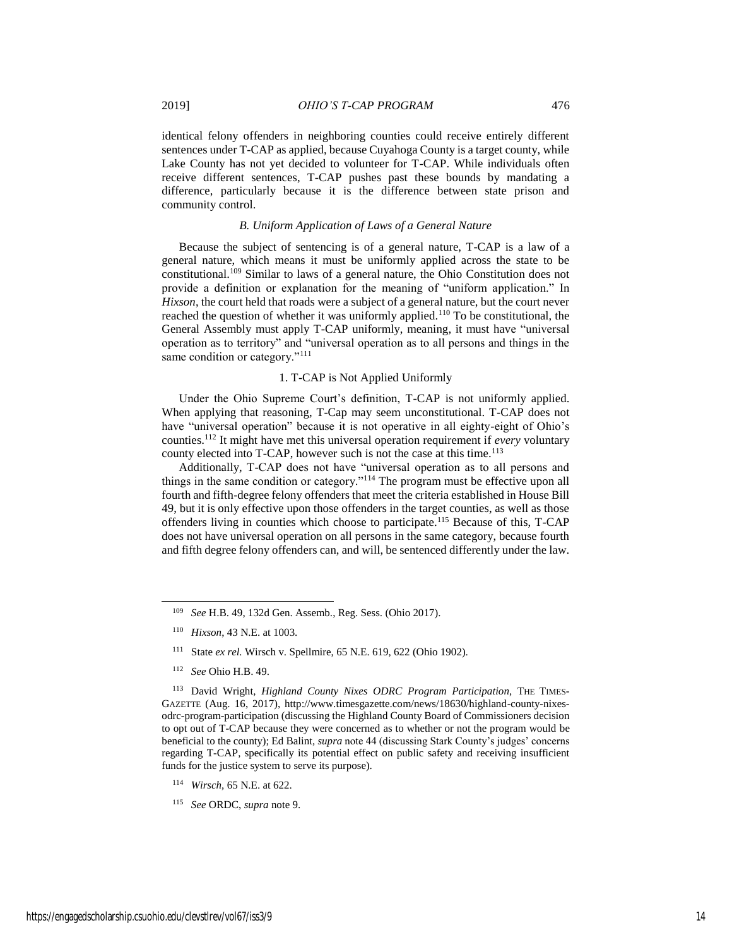identical felony offenders in neighboring counties could receive entirely different sentences under T-CAP as applied, because Cuyahoga County is a target county, while Lake County has not yet decided to volunteer for T-CAP. While individuals often receive different sentences, T-CAP pushes past these bounds by mandating a difference, particularly because it is the difference between state prison and community control.

# *B. Uniform Application of Laws of a General Nature*

Because the subject of sentencing is of a general nature, T-CAP is a law of a general nature, which means it must be uniformly applied across the state to be constitutional.<sup>109</sup> Similar to laws of a general nature, the Ohio Constitution does not provide a definition or explanation for the meaning of "uniform application." In *Hixson*, the court held that roads were a subject of a general nature, but the court never reached the question of whether it was uniformly applied.<sup>110</sup> To be constitutional, the General Assembly must apply T-CAP uniformly, meaning, it must have "universal operation as to territory" and "universal operation as to all persons and things in the same condition or category."<sup>111</sup>

#### 1. T-CAP is Not Applied Uniformly

Under the Ohio Supreme Court's definition, T-CAP is not uniformly applied. When applying that reasoning, T-Cap may seem unconstitutional. T-CAP does not have "universal operation" because it is not operative in all eighty-eight of Ohio's counties.<sup>112</sup> It might have met this universal operation requirement if *every* voluntary county elected into T-CAP, however such is not the case at this time.<sup>113</sup>

Additionally, T-CAP does not have "universal operation as to all persons and things in the same condition or category."<sup>114</sup> The program must be effective upon all fourth and fifth-degree felony offenders that meet the criteria established in House Bill 49, but it is only effective upon those offenders in the target counties, as well as those offenders living in counties which choose to participate.<sup>115</sup> Because of this, T-CAP does not have universal operation on all persons in the same category, because fourth and fifth degree felony offenders can, and will, be sentenced differently under the law.

- 110 *Hixson*, 43 N.E. at 1003.
- <sup>111</sup> State *ex rel.* Wirsch v. Spellmire, 65 N.E. 619, 622 (Ohio 1902).
- 112 *See* Ohio H.B. 49.

l

<sup>113</sup> David Wright, *Highland County Nixes ODRC Program Participation*, THE TIMES-GAZETTE (Aug. 16, 2017), http://www.timesgazette.com/news/18630/highland-county-nixesodrc-program-participation (discussing the Highland County Board of Commissioners decision to opt out of T-CAP because they were concerned as to whether or not the program would be beneficial to the county); Ed Balint, *supra* note 44 (discussing Stark County's judges' concerns regarding T-CAP, specifically its potential effect on public safety and receiving insufficient funds for the justice system to serve its purpose).

- 114 *Wirsch*, 65 N.E. at 622.
- 115 *See* ORDC, *supra* note 9.

<sup>109</sup> *See* H.B. 49, 132d Gen. Assemb., Reg. Sess. (Ohio 2017).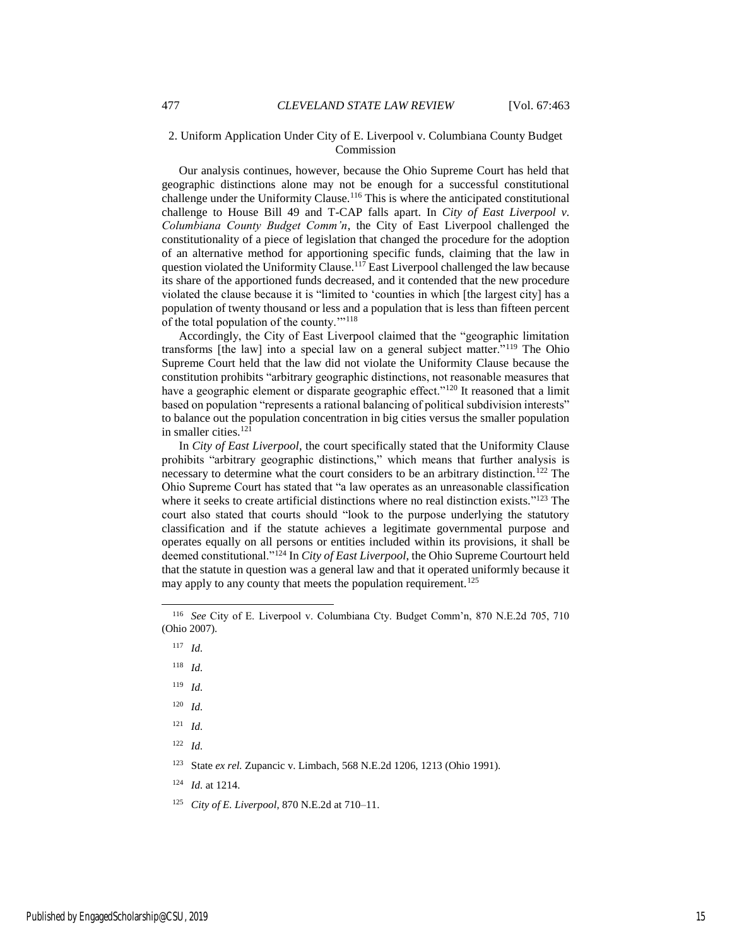## 2. Uniform Application Under City of E. Liverpool v. Columbiana County Budget Commission

Our analysis continues, however, because the Ohio Supreme Court has held that geographic distinctions alone may not be enough for a successful constitutional challenge under the Uniformity Clause.<sup>116</sup> This is where the anticipated constitutional challenge to House Bill 49 and T-CAP falls apart. In *City of East Liverpool v. Columbiana County Budget Comm'n*, the City of East Liverpool challenged the constitutionality of a piece of legislation that changed the procedure for the adoption of an alternative method for apportioning specific funds, claiming that the law in question violated the Uniformity Clause.<sup>117</sup> East Liverpool challenged the law because its share of the apportioned funds decreased, and it contended that the new procedure violated the clause because it is "limited to 'counties in which [the largest city] has a population of twenty thousand or less and a population that is less than fifteen percent of the total population of the county."<sup>118</sup>

Accordingly, the City of East Liverpool claimed that the "geographic limitation transforms [the law] into a special law on a general subject matter."<sup>119</sup> The Ohio Supreme Court held that the law did not violate the Uniformity Clause because the constitution prohibits "arbitrary geographic distinctions, not reasonable measures that have a geographic element or disparate geographic effect."<sup>120</sup> It reasoned that a limit based on population "represents a rational balancing of political subdivision interests" to balance out the population concentration in big cities versus the smaller population in smaller cities.<sup>121</sup>

In *City of East Liverpool*, the court specifically stated that the Uniformity Clause prohibits "arbitrary geographic distinctions," which means that further analysis is necessary to determine what the court considers to be an arbitrary distinction.<sup>122</sup> The Ohio Supreme Court has stated that "a law operates as an unreasonable classification where it seeks to create artificial distinctions where no real distinction exists." <sup>123</sup> The court also stated that courts should "look to the purpose underlying the statutory classification and if the statute achieves a legitimate governmental purpose and operates equally on all persons or entities included within its provisions, it shall be deemed constitutional."<sup>124</sup> In *City of East Liverpool*, the Ohio Supreme Courtourt held that the statute in question was a general law and that it operated uniformly because it may apply to any county that meets the population requirement.<sup>125</sup>

117 *Id.*

 $\overline{a}$ 

- 118 *Id.*
- 119 *Id.*
- 120 *Id.*
- 121 *Id.*
- 122 *Id.*

<sup>123</sup> State *ex rel.* Zupancic v. Limbach, 568 N.E.2d 1206, 1213 (Ohio 1991).

- 124 *Id.* at 1214.
- 125 *City of E. Liverpool*, 870 N.E.2d at 710–11.

<sup>116</sup> *See* City of E. Liverpool v. Columbiana Cty. Budget Comm'n, 870 N.E.2d 705, 710 (Ohio 2007).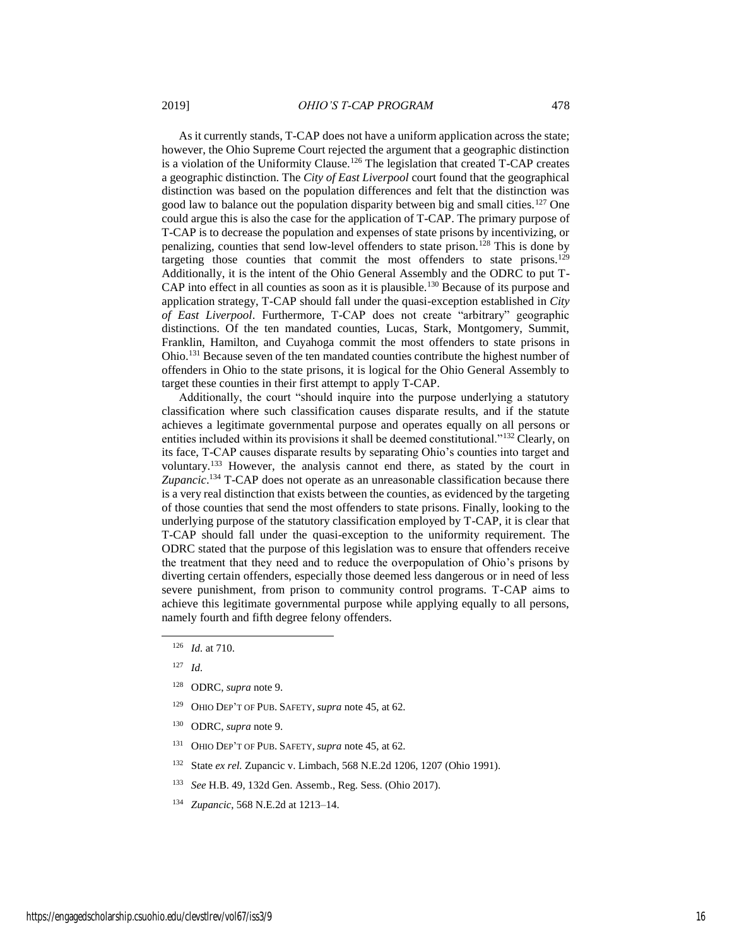As it currently stands, T-CAP does not have a uniform application across the state; however, the Ohio Supreme Court rejected the argument that a geographic distinction is a violation of the Uniformity Clause.<sup>126</sup> The legislation that created T-CAP creates a geographic distinction. The *City of East Liverpool* court found that the geographical distinction was based on the population differences and felt that the distinction was good law to balance out the population disparity between big and small cities.<sup>127</sup> One could argue this is also the case for the application of T-CAP. The primary purpose of T-CAP is to decrease the population and expenses of state prisons by incentivizing, or penalizing, counties that send low-level offenders to state prison.<sup>128</sup> This is done by targeting those counties that commit the most offenders to state prisons.<sup>129</sup> Additionally, it is the intent of the Ohio General Assembly and the ODRC to put T-CAP into effect in all counties as soon as it is plausible.<sup>130</sup> Because of its purpose and application strategy, T-CAP should fall under the quasi-exception established in *City of East Liverpool*. Furthermore, T-CAP does not create "arbitrary" geographic distinctions. Of the ten mandated counties, Lucas, Stark, Montgomery, Summit, Franklin, Hamilton, and Cuyahoga commit the most offenders to state prisons in Ohio.<sup>131</sup> Because seven of the ten mandated counties contribute the highest number of offenders in Ohio to the state prisons, it is logical for the Ohio General Assembly to target these counties in their first attempt to apply T-CAP.

Additionally, the court "should inquire into the purpose underlying a statutory classification where such classification causes disparate results, and if the statute achieves a legitimate governmental purpose and operates equally on all persons or entities included within its provisions it shall be deemed constitutional."<sup>132</sup> Clearly, on its face, T-CAP causes disparate results by separating Ohio's counties into target and voluntary.<sup>133</sup> However, the analysis cannot end there, as stated by the court in Zupancic.<sup>134</sup> T-CAP does not operate as an unreasonable classification because there is a very real distinction that exists between the counties, as evidenced by the targeting of those counties that send the most offenders to state prisons. Finally, looking to the underlying purpose of the statutory classification employed by T-CAP, it is clear that T-CAP should fall under the quasi-exception to the uniformity requirement. The ODRC stated that the purpose of this legislation was to ensure that offenders receive the treatment that they need and to reduce the overpopulation of Ohio's prisons by diverting certain offenders, especially those deemed less dangerous or in need of less severe punishment, from prison to community control programs. T-CAP aims to achieve this legitimate governmental purpose while applying equally to all persons, namely fourth and fifth degree felony offenders.

- <sup>129</sup> OHIO DEP'T OF PUB. SAFETY, *supra* note 45, at 62.
- <sup>130</sup> ODRC, *supra* note 9.
- <sup>131</sup> OHIO DEP'T OF PUB. SAFETY, *supra* note 45, at 62.
- <sup>132</sup> State *ex rel.* Zupancic v. Limbach, 568 N.E.2d 1206, 1207 (Ohio 1991).
- 133 *See* H.B. 49, 132d Gen. Assemb., Reg. Sess. (Ohio 2017).
- 134 *Zupancic*, 568 N.E.2d at 1213–14.

<sup>126</sup> *Id.* at 710.

<sup>127</sup> *Id.*

<sup>128</sup> ODRC, *supra* note 9.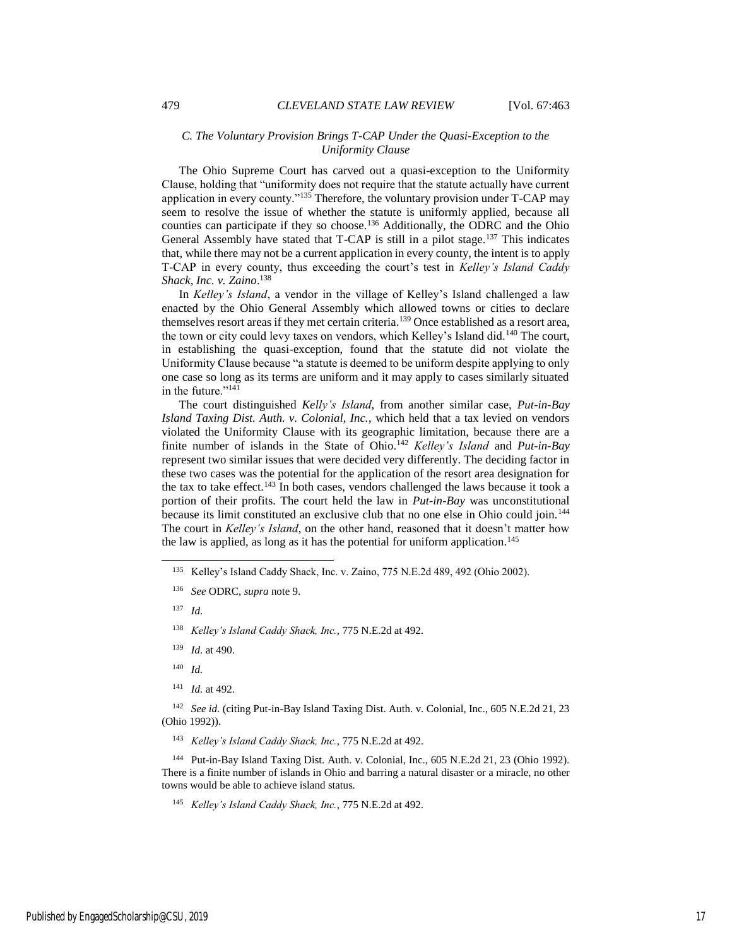## *C. The Voluntary Provision Brings T-CAP Under the Quasi-Exception to the Uniformity Clause*

The Ohio Supreme Court has carved out a quasi-exception to the Uniformity Clause, holding that "uniformity does not require that the statute actually have current application in every county."<sup>135</sup> Therefore, the voluntary provision under T-CAP may seem to resolve the issue of whether the statute is uniformly applied, because all counties can participate if they so choose.<sup>136</sup> Additionally, the ODRC and the Ohio General Assembly have stated that T-CAP is still in a pilot stage.<sup>137</sup> This indicates that, while there may not be a current application in every county, the intent is to apply T-CAP in every county, thus exceeding the court's test in *Kelley's Island Caddy Shack, Inc. v. Zaino*. 138

In *Kelley's Island*, a vendor in the village of Kelley's Island challenged a law enacted by the Ohio General Assembly which allowed towns or cities to declare themselves resort areas if they met certain criteria.<sup>139</sup> Once established as a resort area, the town or city could levy taxes on vendors, which Kelley's Island did.<sup>140</sup> The court, in establishing the quasi-exception, found that the statute did not violate the Uniformity Clause because "a statute is deemed to be uniform despite applying to only one case so long as its terms are uniform and it may apply to cases similarly situated in the future."<sup>141</sup>

The court distinguished *Kelly's Island*, from another similar case, *Put-in-Bay Island Taxing Dist. Auth. v. Colonial, Inc.*, which held that a tax levied on vendors violated the Uniformity Clause with its geographic limitation, because there are a finite number of islands in the State of Ohio.<sup>142</sup> *Kelley's Island* and *Put-in-Bay* represent two similar issues that were decided very differently. The deciding factor in these two cases was the potential for the application of the resort area designation for the tax to take effect.<sup>143</sup> In both cases, vendors challenged the laws because it took a portion of their profits. The court held the law in *Put-in-Bay* was unconstitutional because its limit constituted an exclusive club that no one else in Ohio could join.<sup>144</sup> The court in *Kelley's Island*, on the other hand, reasoned that it doesn't matter how the law is applied, as long as it has the potential for uniform application.<sup>145</sup>

 $\overline{a}$ 

141 *Id.* at 492.

<sup>142</sup> See id. (citing Put-in-Bay Island Taxing Dist. Auth. v. Colonial, Inc., 605 N.E.2d 21, 23 (Ohio 1992)).

143 *Kelley's Island Caddy Shack, Inc.*, 775 N.E.2d at 492.

<sup>144</sup> Put-in-Bay Island Taxing Dist. Auth. v. Colonial, Inc., 605 N.E.2d 21, 23 (Ohio 1992). There is a finite number of islands in Ohio and barring a natural disaster or a miracle, no other towns would be able to achieve island status.

145 *Kelley's Island Caddy Shack, Inc.*, 775 N.E.2d at 492.

<sup>135</sup> Kelley's Island Caddy Shack, Inc. v. Zaino, 775 N.E.2d 489, 492 (Ohio 2002).

<sup>136</sup> *See* ODRC, *supra* note 9.

<sup>137</sup> *Id.*

<sup>138</sup> *Kelley's Island Caddy Shack, Inc.*, 775 N.E.2d at 492.

<sup>139</sup> *Id.* at 490.

<sup>140</sup> *Id.*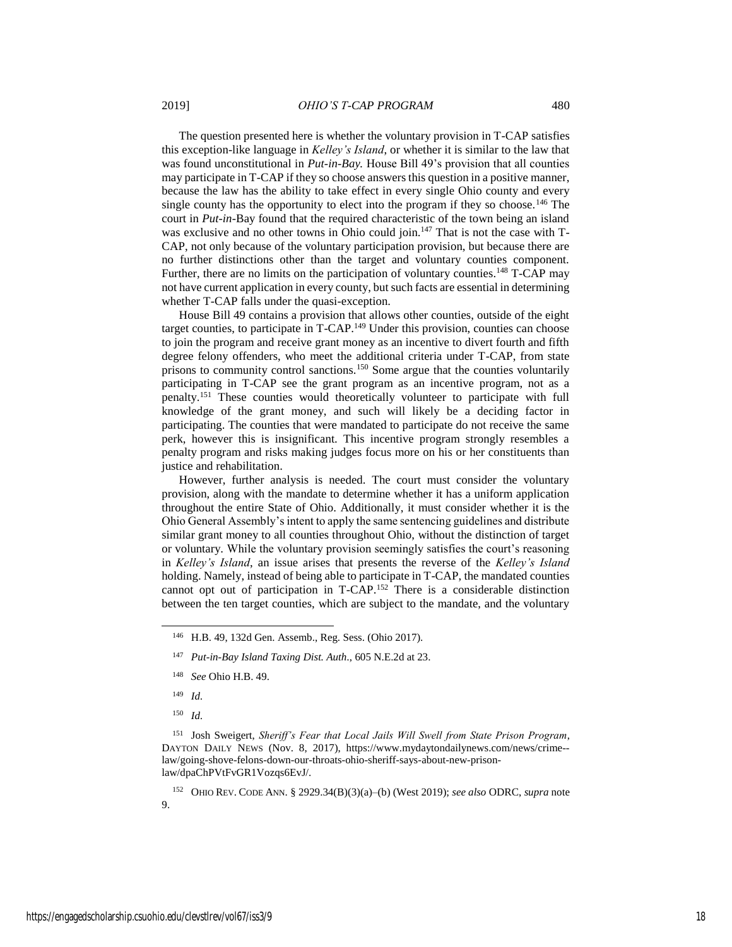The question presented here is whether the voluntary provision in T-CAP satisfies this exception-like language in *Kelley's Island*, or whether it is similar to the law that was found unconstitutional in *Put-in-Bay.* House Bill 49's provision that all counties may participate in T-CAP if they so choose answers this question in a positive manner, because the law has the ability to take effect in every single Ohio county and every single county has the opportunity to elect into the program if they so choose.<sup>146</sup> The court in *Put-in-*Bay found that the required characteristic of the town being an island was exclusive and no other towns in Ohio could join.<sup>147</sup> That is not the case with T-CAP, not only because of the voluntary participation provision, but because there are no further distinctions other than the target and voluntary counties component. Further, there are no limits on the participation of voluntary counties.<sup>148</sup> T-CAP may not have current application in every county, but such facts are essential in determining whether T-CAP falls under the quasi-exception.

House Bill 49 contains a provision that allows other counties, outside of the eight target counties, to participate in T-CAP.<sup>149</sup> Under this provision, counties can choose to join the program and receive grant money as an incentive to divert fourth and fifth degree felony offenders, who meet the additional criteria under T-CAP, from state prisons to community control sanctions.<sup>150</sup> Some argue that the counties voluntarily participating in T-CAP see the grant program as an incentive program, not as a penalty.<sup>151</sup> These counties would theoretically volunteer to participate with full knowledge of the grant money, and such will likely be a deciding factor in participating. The counties that were mandated to participate do not receive the same perk, however this is insignificant. This incentive program strongly resembles a penalty program and risks making judges focus more on his or her constituents than justice and rehabilitation.

However, further analysis is needed. The court must consider the voluntary provision, along with the mandate to determine whether it has a uniform application throughout the entire State of Ohio. Additionally, it must consider whether it is the Ohio General Assembly's intent to apply the same sentencing guidelines and distribute similar grant money to all counties throughout Ohio, without the distinction of target or voluntary. While the voluntary provision seemingly satisfies the court's reasoning in *Kelley's Island*, an issue arises that presents the reverse of the *Kelley's Island* holding. Namely, instead of being able to participate in T-CAP, the mandated counties cannot opt out of participation in T-CAP.<sup>152</sup> There is a considerable distinction between the ten target counties, which are subject to the mandate, and the voluntary

148 *See* Ohio H.B. 49.

149 *Id.*

 $\overline{a}$ 

150 *Id.*

<sup>151</sup> Josh Sweigert, *Sheriff's Fear that Local Jails Will Swell from State Prison Program*, DAYTON DAILY NEWS (Nov. 8, 2017), https://www.mydaytondailynews.com/news/crime- law/going-shove-felons-down-our-throats-ohio-sheriff-says-about-new-prisonlaw/dpaChPVtFvGR1Vozqs6EvJ/.

<sup>152</sup> OHIO REV. CODE ANN. § 2929.34(B)(3)(a)–(b) (West 2019); *see also* ODRC, *supra* note 9.

<sup>146</sup> H.B. 49, 132d Gen. Assemb., Reg. Sess. (Ohio 2017).

<sup>147</sup> *Put-in-Bay Island Taxing Dist. Auth.*, 605 N.E.2d at 23.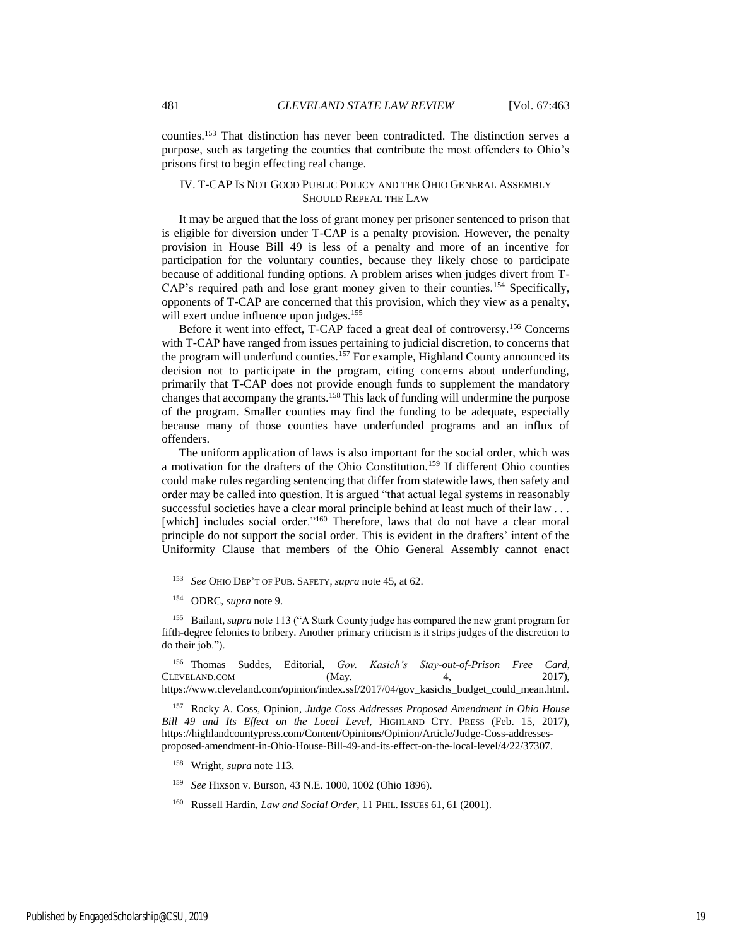counties.<sup>153</sup> That distinction has never been contradicted. The distinction serves a purpose, such as targeting the counties that contribute the most offenders to Ohio's prisons first to begin effecting real change.

# IV. T-CAP IS NOT GOOD PUBLIC POLICY AND THE OHIO GENERAL ASSEMBLY SHOULD REPEAL THE LAW

It may be argued that the loss of grant money per prisoner sentenced to prison that is eligible for diversion under T-CAP is a penalty provision. However, the penalty provision in House Bill 49 is less of a penalty and more of an incentive for participation for the voluntary counties, because they likely chose to participate because of additional funding options. A problem arises when judges divert from T-CAP's required path and lose grant money given to their counties.<sup>154</sup> Specifically, opponents of T-CAP are concerned that this provision, which they view as a penalty, will exert undue influence upon judges.<sup>155</sup>

Before it went into effect, T-CAP faced a great deal of controversy.<sup>156</sup> Concerns with T-CAP have ranged from issues pertaining to judicial discretion, to concerns that the program will underfund counties.<sup>157</sup> For example, Highland County announced its decision not to participate in the program, citing concerns about underfunding, primarily that T-CAP does not provide enough funds to supplement the mandatory changes that accompany the grants.<sup>158</sup> This lack of funding will undermine the purpose of the program. Smaller counties may find the funding to be adequate, especially because many of those counties have underfunded programs and an influx of offenders.

The uniform application of laws is also important for the social order, which was a motivation for the drafters of the Ohio Constitution.<sup>159</sup> If different Ohio counties could make rules regarding sentencing that differ from statewide laws, then safety and order may be called into question. It is argued "that actual legal systems in reasonably successful societies have a clear moral principle behind at least much of their law . . . [which] includes social order."<sup>160</sup> Therefore, laws that do not have a clear moral principle do not support the social order. This is evident in the drafters' intent of the Uniformity Clause that members of the Ohio General Assembly cannot enact

l

<sup>156</sup> Thomas Suddes, Editorial, *Gov. Kasich's Stay-out-of-Prison Free Card*, CLEVELAND.COM (May. 4, 2017), https://www.cleveland.com/opinion/index.ssf/2017/04/gov\_kasichs\_budget\_could\_mean.html.

<sup>157</sup> Rocky A. Coss, Opinion, *Judge Coss Addresses Proposed Amendment in Ohio House Bill 49 and Its Effect on the Local Level*, HIGHLAND CTY. PRESS (Feb. 15, 2017), https://highlandcountypress.com/Content/Opinions/Opinion/Article/Judge-Coss-addressesproposed-amendment-in-Ohio-House-Bill-49-and-its-effect-on-the-local-level/4/22/37307.

- <sup>158</sup> Wright, *supra* note 113.
- 159 *See* Hixson v. Burson, 43 N.E. 1000, 1002 (Ohio 1896).
- <sup>160</sup> Russell Hardin, *Law and Social Order*, 11 PHIL. ISSUES 61, 61 (2001).

<sup>153</sup> *See* OHIO DEP'T OF PUB. SAFETY, *supra* note 45, at 62.

<sup>154</sup> ODRC, *supra* note 9.

<sup>155</sup> Bailant, *supra* note 113 ("A Stark County judge has compared the new grant program for fifth-degree felonies to bribery. Another primary criticism is it strips judges of the discretion to do their job.").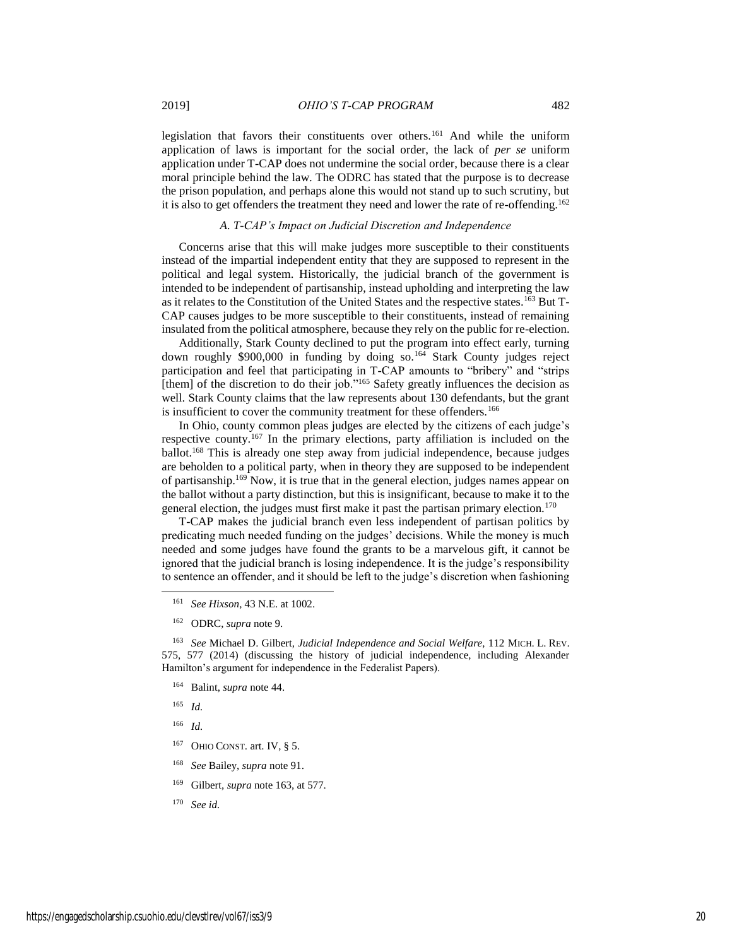legislation that favors their constituents over others.<sup>161</sup> And while the uniform application of laws is important for the social order, the lack of *per se* uniform application under T-CAP does not undermine the social order, because there is a clear moral principle behind the law. The ODRC has stated that the purpose is to decrease the prison population, and perhaps alone this would not stand up to such scrutiny, but it is also to get offenders the treatment they need and lower the rate of re-offending.<sup>162</sup>

# *A. T-CAP's Impact on Judicial Discretion and Independence*

Concerns arise that this will make judges more susceptible to their constituents instead of the impartial independent entity that they are supposed to represent in the political and legal system. Historically, the judicial branch of the government is intended to be independent of partisanship, instead upholding and interpreting the law as it relates to the Constitution of the United States and the respective states.<sup>163</sup> But T-CAP causes judges to be more susceptible to their constituents, instead of remaining insulated from the political atmosphere, because they rely on the public for re-election.

Additionally, Stark County declined to put the program into effect early, turning down roughly \$900,000 in funding by doing so.<sup>164</sup> Stark County judges reject participation and feel that participating in T-CAP amounts to "bribery" and "strips [them] of the discretion to do their job."<sup>165</sup> Safety greatly influences the decision as well. Stark County claims that the law represents about 130 defendants, but the grant is insufficient to cover the community treatment for these offenders.<sup>166</sup>

In Ohio, county common pleas judges are elected by the citizens of each judge's respective county.<sup>167</sup> In the primary elections, party affiliation is included on the ballot.<sup>168</sup> This is already one step away from judicial independence, because judges are beholden to a political party, when in theory they are supposed to be independent of partisanship.<sup>169</sup> Now, it is true that in the general election, judges names appear on the ballot without a party distinction, but this is insignificant, because to make it to the general election, the judges must first make it past the partisan primary election.<sup>170</sup>

T-CAP makes the judicial branch even less independent of partisan politics by predicating much needed funding on the judges' decisions. While the money is much needed and some judges have found the grants to be a marvelous gift, it cannot be ignored that the judicial branch is losing independence. It is the judge's responsibility to sentence an offender, and it should be left to the judge's discretion when fashioning

163 *See* Michael D. Gilbert, *Judicial Independence and Social Welfare*, 112 MICH. L. REV. 575, 577 (2014) (discussing the history of judicial independence, including Alexander Hamilton's argument for independence in the Federalist Papers).

- <sup>164</sup> Balint, *supra* note 44.
- 165 *Id.*

- 166 *Id.*
- $167$  OHIO CONST. art. IV, § 5.
- 168 *See* Bailey, *supra* note 91.
- <sup>169</sup> Gilbert, *supra* note 163, at 577.
- 170 *See id.*

<sup>161</sup> *See Hixson*, 43 N.E. at 1002.

<sup>162</sup> ODRC, *supra* note 9.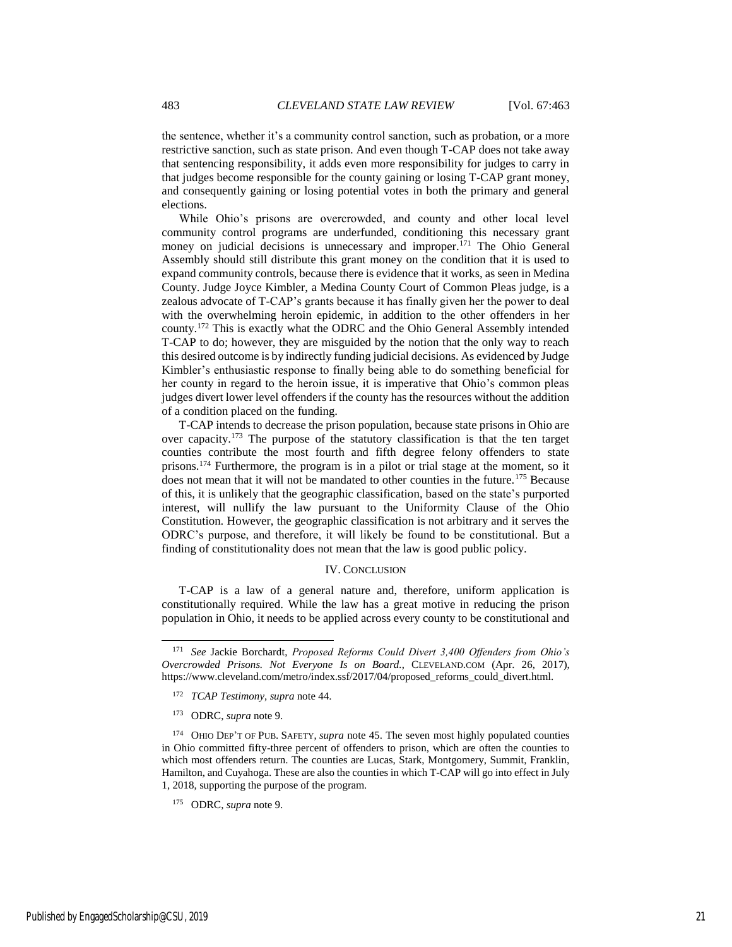the sentence, whether it's a community control sanction, such as probation, or a more restrictive sanction, such as state prison. And even though T-CAP does not take away that sentencing responsibility, it adds even more responsibility for judges to carry in that judges become responsible for the county gaining or losing T-CAP grant money, and consequently gaining or losing potential votes in both the primary and general elections.

While Ohio's prisons are overcrowded, and county and other local level community control programs are underfunded, conditioning this necessary grant money on judicial decisions is unnecessary and improper.<sup>171</sup> The Ohio General Assembly should still distribute this grant money on the condition that it is used to expand community controls, because there is evidence that it works, as seen in Medina County. Judge Joyce Kimbler, a Medina County Court of Common Pleas judge, is a zealous advocate of T-CAP's grants because it has finally given her the power to deal with the overwhelming heroin epidemic, in addition to the other offenders in her county.<sup>172</sup> This is exactly what the ODRC and the Ohio General Assembly intended T-CAP to do; however, they are misguided by the notion that the only way to reach this desired outcome is by indirectly funding judicial decisions. As evidenced by Judge Kimbler's enthusiastic response to finally being able to do something beneficial for her county in regard to the heroin issue, it is imperative that Ohio's common pleas judges divert lower level offenders if the county has the resources without the addition of a condition placed on the funding.

T-CAP intends to decrease the prison population, because state prisons in Ohio are over capacity.<sup>173</sup> The purpose of the statutory classification is that the ten target counties contribute the most fourth and fifth degree felony offenders to state prisons.<sup>174</sup> Furthermore, the program is in a pilot or trial stage at the moment, so it does not mean that it will not be mandated to other counties in the future.<sup>175</sup> Because of this, it is unlikely that the geographic classification, based on the state's purported interest, will nullify the law pursuant to the Uniformity Clause of the Ohio Constitution. However, the geographic classification is not arbitrary and it serves the ODRC's purpose, and therefore, it will likely be found to be constitutional. But a finding of constitutionality does not mean that the law is good public policy.

#### IV. CONCLUSION

T-CAP is a law of a general nature and, therefore, uniform application is constitutionally required. While the law has a great motive in reducing the prison population in Ohio, it needs to be applied across every county to be constitutional and

<sup>171</sup> *See* Jackie Borchardt, *Proposed Reforms Could Divert 3,400 Offenders from Ohio's Overcrowded Prisons. Not Everyone Is on Board.*, CLEVELAND.COM (Apr. 26, 2017), https://www.cleveland.com/metro/index.ssf/2017/04/proposed\_reforms\_could\_divert.html.

<sup>172</sup> *TCAP Testimony*, *supra* note 44.

<sup>173</sup> ODRC, *supra* note 9.

<sup>174</sup> OHIO DEP'T OF PUB. SAFETY, *supra* note 45. The seven most highly populated counties in Ohio committed fifty-three percent of offenders to prison, which are often the counties to which most offenders return. The counties are Lucas, Stark, Montgomery, Summit, Franklin, Hamilton, and Cuyahoga. These are also the counties in which T-CAP will go into effect in July 1, 2018, supporting the purpose of the program.

<sup>175</sup> ODRC, *supra* note 9.